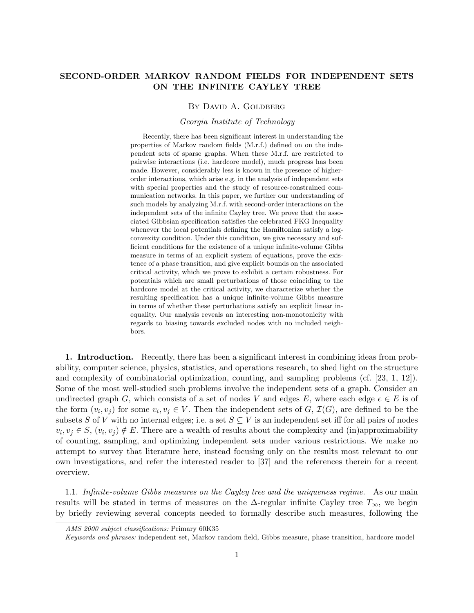# **SECOND-ORDER MARKOV RANDOM FIELDS FOR INDEPENDENT SETS ON THE INFINITE CAYLEY TREE**

### BY DAVID A. GOLDBERG

#### *Georgia Institute of Technology*

Recently, there has been significant interest in understanding the properties of Markov random fields (M.r.f.) defined on on the independent sets of sparse graphs. When these M.r.f. are restricted to pairwise interactions (i.e. hardcore model), much progress has been made. However, considerably less is known in the presence of higherorder interactions, which arise e.g. in the analysis of independent sets with special properties and the study of resource-constrained communication networks. In this paper, we further our understanding of such models by analyzing M.r.f. with second-order interactions on the independent sets of the infinite Cayley tree. We prove that the associated Gibbsian specification satisfies the celebrated FKG Inequality whenever the local potentials defining the Hamiltonian satisfy a logconvexity condition. Under this condition, we give necessary and sufficient conditions for the existence of a unique infinite-volume Gibbs measure in terms of an explicit system of equations, prove the existence of a phase transition, and give explicit bounds on the associated critical activity, which we prove to exhibit a certain robustness. For potentials which are small perturbations of those coinciding to the hardcore model at the critical activity, we characterize whether the resulting specification has a unique infinite-volume Gibbs measure in terms of whether these perturbations satisfy an explicit linear inequality. Our analysis reveals an interesting non-monotonicity with regards to biasing towards excluded nodes with no included neighbors.

**1. Introduction.** Recently, there has been a significant interest in combining ideas from probability, computer science, physics, statistics, and operations research, to shed light on the structure and complexity of combinatorial optimization, counting, and sampling problems (cf. [23, 1, 12]). Some of the most well-studied such problems involve the independent sets of a graph. Consider an undirected graph *G*, which consists of a set of nodes *V* and edges  $E$ , where each edge  $e \in E$  is of the form  $(v_i, v_j)$  for some  $v_i, v_j \in V$ . Then the independent sets of  $G, \mathcal{I}(G)$ , are defined to be the subsets *S* of *V* with no internal edges; i.e. a set  $S \subseteq V$  is an independent set iff for all pairs of nodes  $v_i, v_j \in S$ ,  $(v_i, v_j) \notin E$ . There are a wealth of results about the complexity and (in)approximability of counting, sampling, and optimizing independent sets under various restrictions. We make no attempt to survey that literature here, instead focusing only on the results most relevant to our own investigations, and refer the interested reader to [37] and the references therein for a recent overview.

1.1. *Infinite-volume Gibbs measures on the Cayley tree and the uniqueness regime.* As our main results will be stated in terms of measures on the  $\Delta$ -regular infinite Cayley tree  $T_\infty$ , we begin by briefly reviewing several concepts needed to formally describe such measures, following the

*AMS 2000 subject classifications:* Primary 60K35

*Keywords and phrases:* independent set, Markov random field, Gibbs measure, phase transition, hardcore model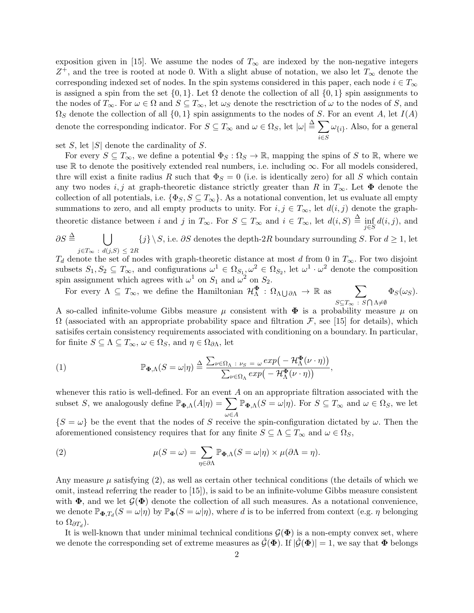exposition given in [15]. We assume the nodes of  $T_\infty$  are indexed by the non-negative integers *Z* <sup>+</sup>, and the tree is rooted at node 0. With a slight abuse of notation, we also let *T<sup>∞</sup>* denote the corresponding indexed set of nodes. In the spin systems considered in this paper, each node  $i \in T_\infty$ is assigned a spin from the set  $\{0,1\}$ . Let  $\Omega$  denote the collection of all  $\{0,1\}$  spin assignments to the nodes of  $T_\infty$ . For  $\omega \in \Omega$  and  $S \subseteq T_\infty$ , let  $\omega_S$  denote the resctriction of  $\omega$  to the nodes of *S*, and  $\Omega$ *S* denote the collection of all  $\{0,1\}$  spin assignments to the nodes of *S*. For an event *A*, let  $I(A)$ denote the corresponding indicator. For  $S \subseteq T_\infty$  and  $\omega \in \Omega_S$ , let  $|\omega| \stackrel{\Delta}{=} \sum$ *i∈S ω{i}* . Also, for a general

set  $S$ , let  $|S|$  denote the cardinality of  $S$ .

For every  $S \subseteq T_\infty$ , we define a potential  $\Phi_S : \Omega_S \to \mathbb{R}$ , mapping the spins of *S* to R, where we use  $\mathbb R$  to denote the positively extended real numbers, i.e. including  $\infty$ . For all models considered, thre will exist a finite radius R such that  $\Phi_S = 0$  (i.e. is identically zero) for all S which contain any two nodes *i, j* at graph-theoretic distance strictly greater than *R* in  $T_\infty$ . Let  $\Phi$  denote the collection of all potentials, i.e.  $\{\Phi_S, S \subseteq T_\infty\}$ . As a notational convention, let us evaluate all empty summations to zero, and all empty products to unity. For  $i, j \in T_\infty$ , let  $d(i, j)$  denote the graphtheoretic distance between i and j in  $T_{\infty}$ . For  $S \subseteq T_{\infty}$  and  $i \in T_{\infty}$ , let  $d(i, S) \triangleq \inf_{j \in S} d(i, j)$ , and

 $\partial S$   $\triangleq$  $\bigcup$ *j∈T<sup>∞</sup>* : *d*(*j,S*) *≤* 2*R*  ${j} \$ 

 $T_d$  denote the set of nodes with graph-theoretic distance at most *d* from 0 in  $T_\infty$ . For two disjoint subsets  $S_1, S_2 \subseteq T_\infty$ , and configurations  $\omega^1 \in \Omega_{S_1}, \omega^2 \in \Omega_{S_2}$ , let  $\omega^1 \cdot \omega^2$  denote the composition spin assignment which agrees with  $\omega^1$  on  $S_1$  and  $\omega^2$  on  $S_2$ .

For every  $\Lambda \subseteq T_{\infty}$ , we define the Hamiltonian  $\mathcal{H}_{\Lambda}^{\Phi} : \Omega_{\Lambda} \cup \partial \Lambda \to \mathbb{R}$  as  $\sum_{\Phi} \Phi_{S}(\omega_{S}).$ *S*⊆*T*<sub>∞</sub> : *S* ∩ Λ≠Ø

A so-called infinite-volume Gibbs measure  $\mu$  consistent with  $\Phi$  is a probability measure  $\mu$  on  $\Omega$  (associated with an appropriate probability space and filtration *F*, see [15] for details), which satisifes certain consistency requirements associated with conditioning on a boundary. In particular, for finite  $S \subseteq \Lambda \subseteq T_{\infty}$ ,  $\omega \in \Omega_S$ , and  $\eta \in \Omega_{\partial \Lambda}$ , let

(1) 
$$
\mathbb{P}_{\Phi,\Lambda}(S=\omega|\eta) \stackrel{\Delta}{=} \frac{\sum_{\nu\in\Omega_{\Lambda}: \nu_{S}=\omega} exp\big(-\mathcal{H}_{\Lambda}^{\Phi}(\nu\cdot\eta)\big)}{\sum_{\nu\in\Omega_{\Lambda}} exp\big(-\mathcal{H}_{\Lambda}^{\Phi}(\nu\cdot\eta)\big)},
$$

whenever this ratio is well-defined. For an event *A* on an appropriate filtration associated with the subset *S*, we analogously define  $\mathbb{P}_{\Phi,\Lambda}(A|\eta) = \sum$ *ω∈A*  $\mathbb{P}_{\Phi,\Lambda}(S=\omega|\eta)$ . For  $S\subseteq T_\infty$  and  $\omega\in\Omega_S$ , we let  ${S = \omega}$  be the event that the nodes of *S* receive the spin-configuration dictated by *ω*. Then the

aforementioned consistency requires that for any finite  $S \subseteq \Lambda \subseteq T_\infty$  and  $\omega \in \Omega_S$ ,

(2) 
$$
\mu(S = \omega) = \sum_{\eta \in \partial \Lambda} \mathbb{P}_{\Phi, \Lambda}(S = \omega | \eta) \times \mu(\partial \Lambda = \eta).
$$

Any measure  $\mu$  satisfying (2), as well as certain other technical conditions (the details of which we omit, instead referring the reader to [15]), is said to be an infinite-volume Gibbs measure consistent with  $\Phi$ , and we let  $\mathcal{G}(\Phi)$  denote the collection of all such measures. As a notational convenience, we denote  $\mathbb{P}_{\Phi,T_d}(S=\omega|\eta)$  by  $\mathbb{P}_{\Phi}(S=\omega|\eta)$ , where *d* is to be inferred from context (e.g. *η* belonging to  $\Omega_{\partial T_d}$ ).

It is well-known that under minimal technical conditions  $\mathcal{G}(\Phi)$  is a non-empty convex set, where we denote the corresponding set of extreme measures as  $\hat{\mathcal{G}}(\mathbf{\Phi})$ . If  $|\hat{\mathcal{G}}(\mathbf{\Phi})| = 1$ , we say that  $\mathbf{\Phi}$  belongs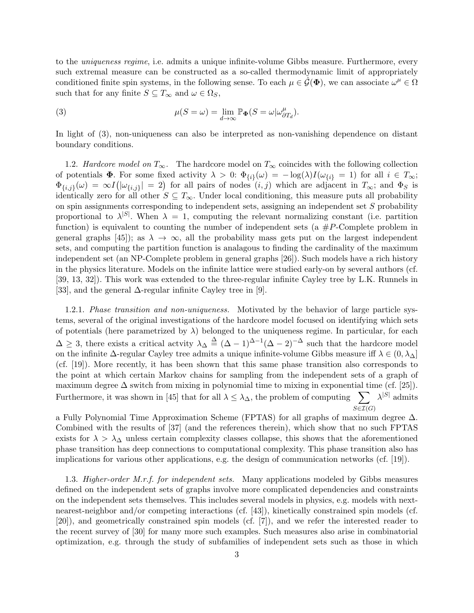to the *uniqueness regime*, i.e. admits a unique infinite-volume Gibbs measure. Furthermore, every such extremal measure can be constructed as a so-called thermodynamic limit of appropriately conditioned finite spin systems, in the following sense. To each  $\mu \in \hat{\mathcal{G}}(\mathbf{\Phi})$ , we can associate  $\omega^{\mu} \in \Omega$ such that for any finite  $S \subseteq T_\infty$  and  $\omega \in \Omega_S$ ,

(3) 
$$
\mu(S = \omega) = \lim_{d \to \infty} \mathbb{P}_{\Phi}(S = \omega | \omega_{\partial T_d}^{\mu}).
$$

In light of (3), non-uniqueness can also be interpreted as non-vanishing dependence on distant boundary conditions.

1.2. *Hardcore model on*  $T_\infty$ . The hardcore model on  $T_\infty$  coincides with the following collection of potentials  $\Phi$ . For some fixed activity  $\lambda > 0$ :  $\Phi_{\{i\}}(\omega) = -\log(\lambda)I(\omega_{\{i\}} = 1)$  for all  $i \in T_{\infty}$ ;  $\Phi_{\{i,j\}}(\omega) = \infty I(|\omega_{\{i,j\}}| = 2)$  for all pairs of nodes  $(i,j)$  which are adjacent in  $T_{\infty}$ ; and  $\Phi_S$  is identically zero for all other  $S \subseteq T_\infty$ . Under local conditioning, this measure puts all probability on spin assignments corresponding to independent sets, assigning an independent set *S* probability proportional to  $\lambda^{S}$ . When  $\lambda = 1$ , computing the relevant normalizing constant (i.e. partition function) is equivalent to counting the number of independent sets ( $a \#P$ -Complete problem in general graphs [45]); as  $\lambda \to \infty$ , all the probability mass gets put on the largest independent sets, and computing the partition function is analagous to finding the cardinality of the maximum independent set (an NP-Complete problem in general graphs [26]). Such models have a rich history in the physics literature. Models on the infinite lattice were studied early-on by several authors (cf. [39, 13, 32]). This work was extended to the three-regular infinite Cayley tree by L.K. Runnels in [33], and the general ∆-regular infinite Cayley tree in [9].

1.2.1. *Phase transition and non-uniqueness.* Motivated by the behavior of large particle systems, several of the original investigations of the hardcore model focused on identifying which sets of potentials (here parametrized by  $\lambda$ ) belonged to the uniqueness regime. In particular, for each  $\Delta \geq 3$ , there exists a critical actvity  $\lambda_{\Delta} \stackrel{\Delta}{=} (\Delta - 1)^{\Delta - 1} (\Delta - 2)^{-\Delta}$  such that the hardcore model on the infinite  $\Delta$ -regular Cayley tree admits a unique infinite-volume Gibbs measure iff  $\lambda \in (0, \lambda_{\Delta})$ (cf. [19]). More recently, it has been shown that this same phase transition also corresponds to the point at which certain Markov chains for sampling from the independent sets of a graph of maximum degree  $\Delta$  switch from mixing in polynomial time to mixing in exponential time (cf. [25]). Furthermore, it was shown in [45] that for all  $\lambda \leq \lambda_{\Delta}$ , the problem of computing  $\sum_{\lambda} |\lambda|^{S}$  admits  $S\overline{\in}I(G)$ 

a Fully Polynomial Time Approximation Scheme (FPTAS) for all graphs of maximum degree ∆. Combined with the results of [37] (and the references therein), which show that no such FPTAS exists for  $\lambda > \lambda_{\Delta}$  unless certain complexity classes collapse, this shows that the aforementioned phase transition has deep connections to computational complexity. This phase transition also has implications for various other applications, e.g. the design of communication networks (cf. [19]).

1.3. *Higher-order M.r.f. for independent sets.* Many applications modeled by Gibbs measures defined on the independent sets of graphs involve more complicated dependencies and constraints on the independent sets themselves. This includes several models in physics, e.g. models with nextnearest-neighbor and/or competing interactions (cf. [43]), kinetically constrained spin models (cf. [20]), and geometrically constrained spin models (cf. [7]), and we refer the interested reader to the recent survey of [30] for many more such examples. Such measures also arise in combinatorial optimization, e.g. through the study of subfamilies of independent sets such as those in which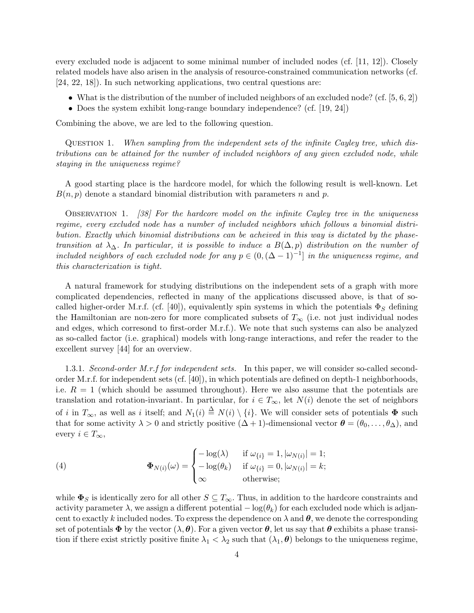every excluded node is adjacent to some minimal number of included nodes (cf. [11, 12]). Closely related models have also arisen in the analysis of resource-constrained communication networks (cf. [24, 22, 18]). In such networking applications, two central questions are:

- What is the distribution of the number of included neighbors of an excluded node? (cf. [5, 6, 2])
- Does the system exhibit long-range boundary independence? (cf. [19, 24])

Combining the above, we are led to the following question.

Question 1. *When sampling from the independent sets of the infinite Cayley tree, which distributions can be attained for the number of included neighbors of any given excluded node, while staying in the uniqueness regime?*

A good starting place is the hardcore model, for which the following result is well-known. Let *B*(*n, p*) denote a standard binomial distribution with parameters *n* and *p*.

Observation 1. *[38] For the hardcore model on the infinite Cayley tree in the uniqueness regime, every excluded node has a number of included neighbors which follows a binomial distribution. Exactly which binomial distributions can be acheived in this way is dictated by the phasetransition at*  $\lambda_{\Delta}$ *. In particular, it is possible to induce a*  $B(\Delta, p)$  *distribution on the number of included neighbors of each excluded node for any*  $p \in (0, (\Delta - 1)^{-1}]$  *in the uniqueness regime, and this characterization is tight.*

A natural framework for studying distributions on the independent sets of a graph with more complicated dependencies, reflected in many of the applications discussed above, is that of socalled higher-order M.r.f. (cf. [40]), equivalently spin systems in which the potentials  $\Phi_S$  defining the Hamiltonian are non-zero for more complicated subsets of  $T_\infty$  (i.e. not just individual nodes and edges, which corresond to first-order M.r.f.). We note that such systems can also be analyzed as so-called factor (i.e. graphical) models with long-range interactions, and refer the reader to the excellent survey [44] for an overview.

1.3.1. *Second-order M.r.f for independent sets.* In this paper, we will consider so-called secondorder M.r.f. for independent sets (cf. [40]), in which potentials are defined on depth-1 neighborhoods, i.e.  $R = 1$  (which should be assumed throughout). Here we also assume that the potentials are translation and rotation-invariant. In particular, for  $i \in T_\infty$ , let  $N(i)$  denote the set of neighbors of *i* in  $T_\infty$ , as well as *i* itself; and  $N_1(i) \triangleq N(i) \setminus \{i\}$ . We will consider sets of potentials  $\Phi$  such that for some activity  $\lambda > 0$  and strictly positive  $(\Delta + 1)$ -dimensional vector  $\boldsymbol{\theta} = (\theta_0, \ldots, \theta_{\Delta})$ , and every  $i \in T_\infty$ ,

(4) 
$$
\Phi_{N(i)}(\omega) = \begin{cases}\n-\log(\lambda) & \text{if } \omega_{\{i\}} = 1, |\omega_{N(i)}| = 1; \\
-\log(\theta_k) & \text{if } \omega_{\{i\}} = 0, |\omega_{N(i)}| = k; \\
\infty & \text{otherwise};\n\end{cases}
$$

while  $\Phi_S$  is identically zero for all other  $S \subseteq T_\infty$ . Thus, in addition to the hardcore constraints and activity parameter  $\lambda$ , we assign a different potential  $-\log(\theta_k)$  for each excluded node which is adjancent to exactly k included nodes. To express the dependence on  $\lambda$  and  $\theta$ , we denote the corresponding set of potentials  $\Phi$  by the vector  $(\lambda, \theta)$ . For a given vector  $\theta$ , let us say that  $\theta$  exhibits a phase transition if there exist strictly positive finite  $\lambda_1 < \lambda_2$  such that  $(\lambda_1, \theta)$  belongs to the uniqueness regime,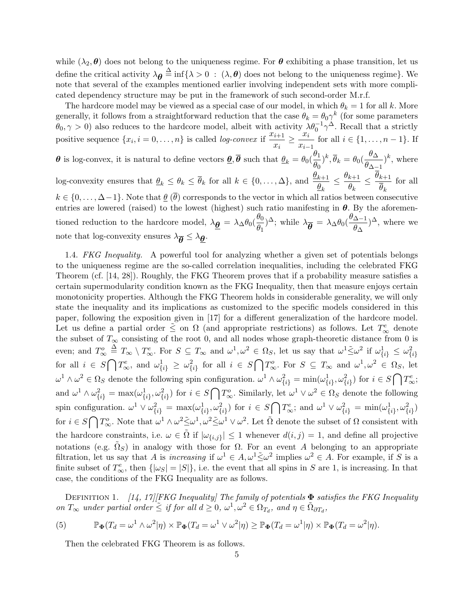while  $(\lambda_2, \theta)$  does not belong to the uniqueness regime. For  $\theta$  exhibiting a phase transition, let us define the critical activity  $\lambda_{\theta} \triangleq \inf \{\lambda > 0 \; : \; (\lambda, \theta) \text{ does not belong to the uniqueness regime}\}.$  We note that several of the examples mentioned earlier involving independent sets with more complicated dependency structure may be put in the framework of such second-order M.r.f.

The hardcore model may be viewed as a special case of our model, in which  $\theta_k = 1$  for all k. More generally, it follows from a straightforward reduction that the case  $\theta_k = \theta_0 \gamma^k$  (for some parameters  $\theta_0, \gamma > 0$ ) also reduces to the hardcore model, albeit with activity  $\lambda \theta_0^{-1} \gamma^{\Delta}$ . Recall that a strictly positive sequence  $\{x_i, i = 0, \ldots, n\}$  is called *log-convex* if  $\frac{x_{i+1}}{n}$  $\frac{x_{i+1}}{x_i} \geq \frac{x_i}{x_{i-1}}$  $\frac{w_i}{x_{i-1}}$  for all  $i \in \{1, \ldots, n-1\}$ . If *θ* is log-convex, it is natural to define vectors  $\theta$ ,  $\overline{\theta}$  such that  $\theta_k = \theta_0(\frac{\theta_1}{\theta_1})$  $\frac{\theta_1}{\theta_0}$ <sup>)</sup><sup>k</sup>,  $\overline{\theta}_k = \theta_0(\frac{\theta_\Delta}{\theta_{\Delta-1}})$  $\frac{\partial \Delta}{\partial \Delta - 1}$ <sup>k</sup>, where log-convexity ensures that  $\underline{\theta}_k \leq \theta_k \leq \overline{\theta}_k$  for all  $k \in \{0, \ldots, \Delta\}$ , and  $\underline{\frac{\theta_{k+1}}{\theta}}$  $\frac{k+1}{\theta_k} \leq \frac{\theta_{k+1}}{\theta_k}$  $\frac{k+1}{\theta_k} \leq \frac{\theta_{k+1}}{\overline{\theta}_k}$ *θk* for all  $k \in \{0, \ldots, \Delta-1\}$ . Note that  $\underline{\theta}(\overline{\theta})$  corresponds to the vector in which all ratios between consecutive entries are lowered (raised) to the lowest (highest) such ratio manifesting in  $\theta$ . By the aforementioned reduction to the hardcore model,  $\lambda_{\underline{\theta}} = \lambda_{\Delta} \theta_0 (\frac{\theta_0}{\theta_1})$ *θ*<sub>0</sub> (*θ*<sub>Δ</sub>*−*1</sup>)<sup>Δ</sup>; while  $\lambda$ *θ* (*θ*<sub>Δ</sub>*−1*) *θ*<sub>Δ</sub>  $\frac{\Delta-1}{\theta_{\Delta}}$ <sup> $\Delta$ </sup>, where we note that log-convexity ensures  $\lambda_{\overline{\theta}} \leq \lambda_{\underline{\theta}}$ .

1.4. *FKG Inequality.* A powerful tool for analyzing whether a given set of potentials belongs to the uniqueness regime are the so-called correlation inequalities, including the celebrated FKG Theorem (cf. [14, 28]). Roughly, the FKG Theorem proves that if a probability measure satisfies a certain supermodularity condition known as the FKG Inequality, then that measure enjoys certain monotonicity properties. Although the FKG Theorem holds in considerable generality, we will only state the inequality and its implications as customized to the specific models considered in this paper, following the exposition given in [17] for a different generalization of the hardcore model. Let us define a partial order  $\leq \infty$  on  $\Omega$  (and appropriate restrictions) as follows. Let  $T_{\infty}^e$  denote the subset of  $T<sub>\infty</sub>$  consisting of the root 0, and all nodes whose graph-theoretic distance from 0 is even; and  $T_{\infty}^o \stackrel{\Delta}{=} T_{\infty} \setminus T_{\infty}^e$ . For  $S \subseteq T_{\infty}$  and  $\omega^1, \omega^2 \in \Omega_S$ , let us say that  $\omega^1 \tilde{\leq} \omega^2$  if  $\omega_{\{i\}}^1 \leq \omega_{\{i\}}^2$ for all  $i \in S \cap T_{\infty}^e$ , and  $\omega_{\{i\}}^1 \geq \omega_{\{i\}}^2$  for all  $i \in S \cap T_{\infty}^o$ . For  $S \subseteq T_{\infty}$  and  $\omega^1, \omega^2 \in \Omega_S$ , let  $\omega^1 \wedge \omega^2 \in \Omega_S$  denote the following spin configuration.  $\omega^1 \wedge \omega_{\{i\}}^2 = \min(\omega_{\{i\}}^1, \omega_{\{i\}}^2)$  for  $i \in S \bigcap T_{\infty}^e$ ; and  $\omega^1 \wedge \omega_{\{i\}}^2 = \max(\omega_{\{i\}}^1, \omega_{\{i\}}^2)$  for  $i \in S \cap T_{\infty}^o$ . Similarly, let  $\omega^1 \vee \omega^2 \in \Omega_S$  denote the following spin configuration.  $\omega^1 \vee \omega_{\{i\}}^2 = \max(\omega_{\{i\}}^1, \omega_{\{i\}}^2)$  for  $i \in S \cap T^e_{\infty}$ ; and  $\omega^1 \vee \omega_{\{i\}}^2 = \min(\omega_{\{i\}}^1, \omega_{\{i\}}^2)$ for  $i \in S \cap T^o_{\infty}$ . Note that  $\omega^1 \wedge \omega^2 \leq \omega^1, \omega^2 \leq \omega^1 \vee \omega^2$ . Let  $\tilde{\Omega}$  denote the subset of  $\Omega$  consistent with the hardcore constraints, i.e.  $\omega \in \tilde{\Omega}$  if  $|\omega_{\{i,j\}}| \leq 1$  whenever  $d(i,j) = 1$ , and define all projective notations (e.g.  $\tilde{\Omega}_S$ ) in analogy with those for  $\Omega$ . For an event *A* belonging to an appropriate filtration, let us say that *A* is *increasing* if  $\omega^1 \in A$ ,  $\omega^1 \leq \omega^2$  implies  $\omega^2 \in A$ . For example, if *S* is a finite subset of  $T_{\infty}^e$ , then  $\{|\omega_S| = |S|\}$ , i.e. the event that all spins in *S* are 1, is increasing. In that case, the conditions of the FKG Inequality are as follows.

Definition 1. *[14, 17][FKG Inequality] The family of potentials* **Φ** *satisfies the FKG Inequality*  $\overline{or}$  *T*<sub>∞</sub> *under partial order*  $\leq$  *if for all*  $d \geq 0$ ,  $\omega^1, \omega^2 \in \Omega_{T_d}$ , and  $\eta \in \tilde{\Omega}_{\partial T_d}$ ,

(5) 
$$
\mathbb{P}_{\Phi}(T_d = \omega^1 \wedge \omega^2 | \eta) \times \mathbb{P}_{\Phi}(T_d = \omega^1 \vee \omega^2 | \eta) \ge \mathbb{P}_{\Phi}(T_d = \omega^1 | \eta) \times \mathbb{P}_{\Phi}(T_d = \omega^2 | \eta).
$$

Then the celebrated FKG Theorem is as follows.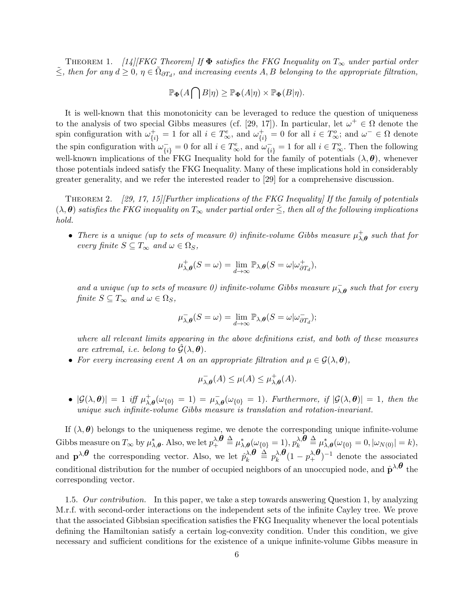THEOREM 1.  $[14]$ [FKG Theorem] If  $\Phi$  satisfies the FKG Inequality on  $T_{\infty}$  under partial order  $\leq$ , then for any  $d \geq 0$ ,  $\eta \in \tilde{\Omega}_{\partial T_d}$ , and increasing events  $A, B$  belonging to the appropriate filtration,

$$
\mathbb{P}_{\Phi}(A\bigcap B|\eta) \geq \mathbb{P}_{\Phi}(A|\eta) \times \mathbb{P}_{\Phi}(B|\eta).
$$

It is well-known that this monotonicity can be leveraged to reduce the question of uniqueness to the analysis of two special Gibbs measures (cf. [29, 17]). In particular, let  $\omega^+ \in \Omega$  denote the spin configuration with  $\omega_{\{i\}}^+ = 1$  for all  $i \in T^e_{\infty}$ , and  $\omega_{\{i\}}^+ = 0$  for all  $i \in T^o_{\infty}$ ; and  $\omega^- \in \Omega$  denote the spin configuration with  $\omega_{\{i\}}^- = 0$  for all  $i \in T^e_{\infty}$ , and  $\omega_{\{i\}}^- = 1$  for all  $i \in T^o_{\infty}$ . Then the following well-known implications of the FKG Inequality hold for the family of potentials  $(\lambda, \theta)$ , whenever those potentials indeed satisfy the FKG Inequality. Many of these implications hold in considerably greater generality, and we refer the interested reader to [29] for a comprehensive discussion.

Theorem 2. *[29, 17, 15][Further implications of the FKG Inequality] If the family of potentials*  $(\lambda, \theta)$  *satisfies the FKG inequality on*  $T_\infty$  *under partial order*  $\leq$ *, then all of the following implications hold.*

• *There is a unique (up to sets of measure 0) infinite-volume Gibbs measure*  $\mu_{\lambda}^{+}$ *λ,θ such that for every finite*  $S \subseteq T_\infty$  *and*  $\omega \in \Omega_S$ *,* 

$$
\mu^+_{\lambda,\theta}(S=\omega)=\lim_{d\to\infty}\mathbb{P}_{\lambda,\theta}(S=\omega|\omega_{\partial T_d}^+),
$$

*and a unique (up to sets of measure 0) infinite-volume Gibbs measure*  $\mu_{\lambda,\theta}^-$  *such that for every finite*  $S \subseteq T_\infty$  *and*  $\omega \in \Omega_S$ *,* 

$$
\mu_{\lambda,\theta}^-(S=\omega)=\lim_{d\to\infty}\mathbb{P}_{\lambda,\theta}(S=\omega|\omega_{\partial T_d}^-);
$$

*where all relevant limits appearing in the above definitions exist, and both of these measures are extremal, i.e. belong to*  $\hat{G}(\lambda, \theta)$ *.* 

• For every increasing event A on an appropriate filtration and  $\mu \in \mathcal{G}(\lambda, \theta)$ ,

$$
\mu_{\lambda,\theta}^-(A) \le \mu(A) \le \mu_{\lambda,\theta}^+(A).
$$

•  $|\mathcal{G}(\lambda, \theta)| = 1$  *iff*  $\mu_{\lambda}^{+}$  $\frac{1}{\lambda,\theta}(\omega_{\{0\}} = 1) = \mu_{\lambda,\theta}^{-}(\omega_{\{0\}} = 1)$ *. Furthermore, if*  $|\mathcal{G}(\lambda,\theta)| = 1$ *, then the unique such infinite-volume Gibbs measure is translation and rotation-invariant.*

If  $(\lambda, \theta)$  belongs to the uniqueness regime, we denote the corresponding unique infinite-volume  $\mathcal{L}$ Gibbs measure on  $T_\infty$  by  $\mu^*_{\lambda,\boldsymbol{\theta}}$ . Also, we let  $p_+^{\lambda,\boldsymbol{\theta}}\stackrel{\Delta}{=} \mu^*_{\lambda,\boldsymbol{\theta}}(\omega_{\{0\}}=1), p_k^{\lambda,\boldsymbol{\theta}}$  $\frac{\lambda}{k}$ *θ*  $\stackrel{\Delta}{=}\mu_{\lambda,\boldsymbol{\theta}}^{*}(\omega_{\{0\}}=0,|\omega_{N(0)}|=k),$ and  $\mathbf{p}^{\lambda,\theta}$  the corresponding vector. Also, we let  $\hat{p}_k^{\lambda,\theta}$  $\frac{\lambda}{k}$ *θ*  $\stackrel{\Delta}{=} p_k^{\lambda}$ *,θ*  $\partial_k^{\lambda, \theta} (1 - p_+^{\lambda, \theta})^{-1}$  denote the associated conditional distribution for the number of occupied neighbors of an unoccupied node, and  $\hat{p}^{\lambda,\theta}$  the corresponding vector.

1.5. *Our contribution.* In this paper, we take a step towards answering Question 1, by analyzing M.r.f. with second-order interactions on the independent sets of the infinite Cayley tree. We prove that the associated Gibbsian specification satisfies the FKG Inequality whenever the local potentials defining the Hamiltonian satisfy a certain log-convexity condition. Under this condition, we give necessary and sufficient conditions for the existence of a unique infinite-volume Gibbs measure in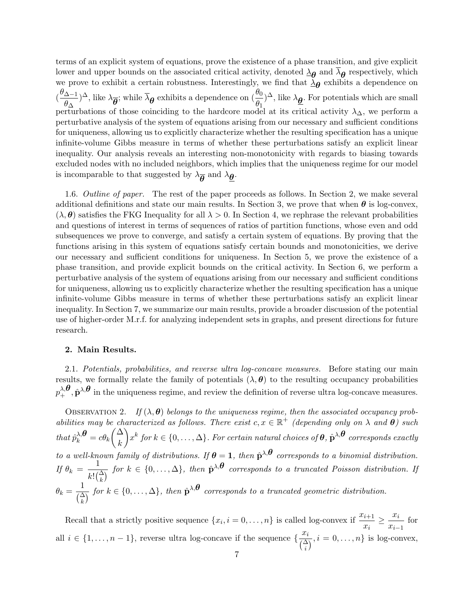terms of an explicit system of equations, prove the existence of a phase transition, and give explicit lower and upper bounds on the associated critical activity, denoted  $\lambda_{\theta}$  and  $\lambda_{\theta}$  respectively, which we prove to exhibit a certain robustness. Interestingly, we find that  $\lambda_{\theta}$  exhibits a dependence on ( *θ*∆*−*<sup>1</sup>  $\frac{(\Delta-1)}{\theta_0}$ )<sup> $\Delta$ </sup>, like  $\lambda_{\overline{\theta}}$ ; while  $\overline{\lambda}_{\theta}$  exhibits a dependence on  $(\frac{\theta_0}{\theta_1})$  $(\frac{\theta_0}{\theta_1})^{\Delta}$ , like  $\lambda_{\underline{\theta}}$ . For potentials which are small perturbations of those coinciding to the hardcore model at its critical activity *λ*∆, we perform a perturbative analysis of the system of equations arising from our necessary and sufficient conditions for uniqueness, allowing us to explicitly characterize whether the resulting specification has a unique infinite-volume Gibbs measure in terms of whether these perturbations satisfy an explicit linear inequality. Our analysis reveals an interesting non-monotonicity with regards to biasing towards excluded nodes with no included neighbors, which implies that the uniqueness regime for our model is incomparable to that suggested by  $\lambda_{\overline{\theta}}$  and  $\lambda_{\underline{\theta}}$ .

1.6. *Outline of paper.* The rest of the paper proceeds as follows. In Section 2, we make several additional definitions and state our main results. In Section 3, we prove that when  $\theta$  is log-convex,  $(\lambda, \theta)$  satisfies the FKG Inequality for all  $\lambda > 0$ . In Section 4, we rephrase the relevant probabilities and questions of interest in terms of sequences of ratios of partition functions, whose even and odd subsequences we prove to converge, and satisfy a certain system of equations. By proving that the functions arising in this system of equations satisfy certain bounds and monotonicities, we derive our necessary and sufficient conditions for uniqueness. In Section 5, we prove the existence of a phase transition, and provide explicit bounds on the critical activity. In Section 6, we perform a perturbative analysis of the system of equations arising from our necessary and sufficient conditions for uniqueness, allowing us to explicitly characterize whether the resulting specification has a unique infinite-volume Gibbs measure in terms of whether these perturbations satisfy an explicit linear inequality. In Section 7, we summarize our main results, provide a broader discussion of the potential use of higher-order M.r.f. for analyzing independent sets in graphs, and present directions for future research.

### **2. Main Results.**

2.1. *Potentials, probabilities, and reverse ultra log-concave measures.* Before stating our main results, we formally relate the family of potentials  $(\lambda, \theta)$  to the resulting occupancy probabilities  $p^{\lambda,\boldsymbol{\theta}}_+$ ,  $\hat{\mathbf{p}}^{\lambda,\boldsymbol{\theta}}$  in the uniqueness regime, and review the definition of reverse ultra log-concave measures.

OBSERVATION 2. If  $(\lambda, \theta)$  belongs to the uniqueness regime, then the associated occupancy prob*abilities may be characterized as follows. There exist*  $c, x \in \mathbb{R}^+$  *(depending only on*  $\lambda$  *and*  $\theta$ *) such*  $that \hat{p}_k^{\lambda,\theta} = c\theta_k$  $\sqrt{\Delta}$ *k*  $\setminus$  $x^k$  *for*  $k \in \{0,\ldots,\Delta\}$ *. For certain natural choices of*  $\theta$ *,*  $\hat{\mathbf{p}}^{\lambda,\theta}$  *corresponds exactly to a well-known family of distributions. If*  $\theta = 1$ *, then*  $\hat{p}^{\lambda,\theta}$  *corresponds to a binomial distribution. If*  $\theta_k = \frac{1}{16}$  $\frac{1}{k! \binom{\Delta}{k}}$  *for*  $k \in \{0, \ldots, \Delta\}$ *, then*  $\hat{\mathbf{p}}^{\lambda,\theta}$  *corresponds to a truncated Poisson distribution. If*  $\theta_k = \frac{1}{\sqrt{\lambda}}$  $\frac{1}{\binom{\Delta}{k}}$  *for*  $k \in \{0, \ldots, \Delta\}$ *, then*  $\hat{\mathbf{p}}^{\lambda, \theta}$  *corresponds to a truncated geometric distribution.* 

Recall that a strictly positive sequence  $\{x_i, i = 0, \ldots, n\}$  is called log-convex if  $\frac{x_{i+1}}{n}$  $\frac{x_{i+1}}{x_i} \geq \frac{x_i}{x_{i-1}}$  $\frac{x_i}{x_{i-1}}$  for all *i* ∈ {1, . . . , *n* − 1}, reverse ultra log-concave if the sequence { $\frac{x_i}{\sqrt{\Delta}}$  $\left(\frac{\alpha_i}{\binom{\Delta}{i}}, i=0,\ldots,n\right\}$  is log-convex,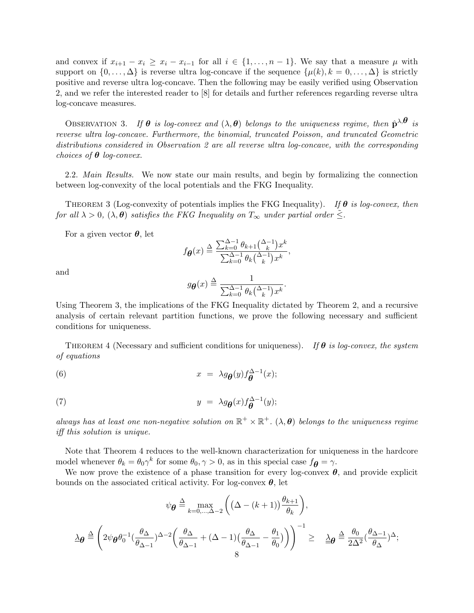and convex if  $x_{i+1} - x_i \geq x_i - x_{i-1}$  for all  $i \in \{1, \ldots, n-1\}$ . We say that a measure  $\mu$  with support on  $\{0, \ldots, \Delta\}$  is reverse ultra log-concave if the sequence  $\{\mu(k), k = 0, \ldots, \Delta\}$  is strictly positive and reverse ultra log-concave. Then the following may be easily verified using Observation 2, and we refer the interested reader to [8] for details and further references regarding reverse ultra log-concave measures.

OBSERVATION 3. If  $\theta$  is log-convex and  $(\lambda, \theta)$  belongs to the uniqueness regime, then  $\hat{\mathbf{p}}^{\lambda,\theta}$  is *reverse ultra log-concave. Furthermore, the binomial, truncated Poisson, and truncated Geometric distributions considered in Observation 2 are all reverse ultra log-concave, with the corresponding choices of θ log-convex.*

2.2. *Main Results.* We now state our main results, and begin by formalizing the connection between log-convexity of the local potentials and the FKG Inequality.

Theorem 3 (Log-convexity of potentials implies the FKG Inequality). *If θ is log-convex, then for all*  $\lambda > 0$ ,  $(\lambda, \theta)$  *satisfies the FKG Inequality on*  $T_\infty$  *under partial order*  $\leq$ .

For a given vector *θ*, let

$$
f_{\boldsymbol{\theta}}(x) \stackrel{\Delta}{=} \frac{\sum_{k=0}^{\Delta-1} \theta_{k+1} {\Delta-1 \choose k} x^k}{\sum_{k=0}^{\Delta-1} \theta_k {\Delta-1 \choose k} x^k},
$$

and

$$
g_{\boldsymbol{\theta}}(x) \stackrel{\Delta}{=} \frac{1}{\sum_{k=0}^{\Delta-1} \theta_k {(\lambda-1 \choose k} x^k}.
$$

Using Theorem 3, the implications of the FKG Inequality dictated by Theorem 2, and a recursive analysis of certain relevant partition functions, we prove the following necessary and sufficient conditions for uniqueness.

Theorem 4 (Necessary and sufficient conditions for uniqueness). *If θ is log-convex, the system of equations*

(6) 
$$
x = \lambda g_{\theta}(y) f_{\theta}^{\Delta - 1}(x);
$$

(7) 
$$
y = \lambda g_{\theta}(x) f_{\theta}^{\Delta - 1}(y);
$$

*always has at least one non-negative solution on*  $\mathbb{R}^+ \times \mathbb{R}^+$ .  $(\lambda, \theta)$  *belongs to the uniqueness regime iff this solution is unique.*

Note that Theorem 4 reduces to the well-known characterization for uniqueness in the hardcore model whenever  $\theta_k = \theta_0 \gamma^k$  for some  $\theta_0, \gamma > 0$ , as in this special case  $f_{\theta} = \gamma$ .

We now prove the existence of a phase transition for every log-convex  $\theta$ , and provide explicit bounds on the associated critical activity. For log-convex  $\theta$ , let

$$
\psi_{\theta} \stackrel{\Delta}{=} \max_{k=0,\ldots,\Delta-2} \left( \left( \Delta - (k+1) \right) \frac{\theta_{k+1}}{\theta_k} \right),
$$

$$
\Delta_{\theta} \stackrel{\Delta}{=} \left( 2\psi_{\theta} \theta_0^{-1} \left( \frac{\theta_{\Delta}}{\theta_{\Delta-1}} \right)^{\Delta-2} \left( \frac{\theta_{\Delta}}{\theta_{\Delta-1}} + (\Delta - 1) \left( \frac{\theta_{\Delta}}{\theta_{\Delta-1}} - \frac{\theta_1}{\theta_0} \right) \right) \right)^{-1} \ge \Delta_{\theta} \stackrel{\Delta}{=} \frac{\theta_0}{2\Delta^2} \left( \frac{\theta_{\Delta-1}}{\theta_{\Delta}} \right)^{\Delta};
$$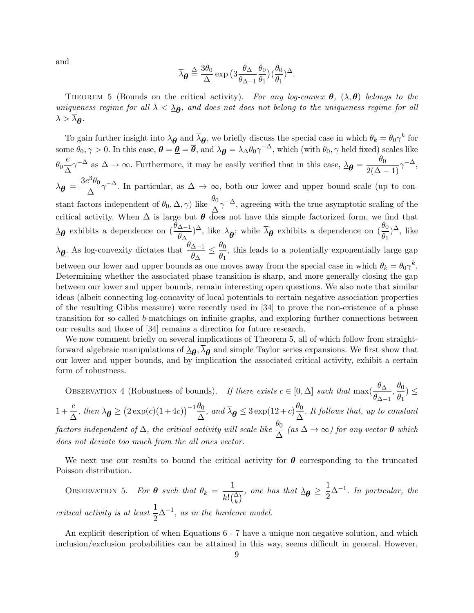and

$$
\overline{\lambda}_{\theta} \stackrel{\Delta}{=} \frac{3\theta_0}{\Delta} \exp \big( 3 \frac{\theta_{\Delta}}{\theta_{\Delta-1}} \frac{\theta_0}{\theta_1} \big) \big( \frac{\theta_0}{\theta_1} \big)^{\Delta}.
$$

THEOREM 5 (Bounds on the critical activity). For any log-convex  $\theta$ ,  $(\lambda, \theta)$  belongs to the *uniqueness regime for all*  $\lambda < \Delta_{\theta}$ , and does not does not belong to the uniqueness regime for all  $\lambda > \lambda_{\theta}$ .

To gain further insight into  $\Delta \theta$  and  $\overline{\lambda} \theta$ , we briefly discuss the special case in which  $\theta_k = \theta_0 \gamma^k$  for  $\theta_0, \gamma > 0$ . In this case,  $\theta = \underline{\theta} = \overline{\theta}$ , and  $\lambda_{\theta} = \lambda_{\Delta} \theta_0 \gamma^{-\Delta}$ , which (with  $\theta_0, \gamma$  held fixed) scales like  $θ_0$  $\frac{e}{\lambda}$  $\frac{e}{\Delta} \gamma^{-\Delta}$  as  $\Delta \to \infty$ . Furthermore, it may be easily verified that in this case,  $\Delta \theta = \frac{\theta_0}{2(\Delta - 1)} \gamma^{-\Delta}$ ,  $\overline{\lambda}_{\theta} = \frac{3e^3\theta_0}{\Delta} \gamma^{-\Delta}$ . In particular, as  $\Delta \to \infty$ , both our lower and upper bound scale (up to con-∆ stant factors independent of  $\theta_0$ ,  $\Delta$ ,  $\gamma$ ) like  $\frac{\theta_0}{\Delta} \gamma^{-\Delta}$ , agreeing with the true asymptotic scaling of the critical activity. When  $\Delta$  is large but  $\theta$  does not have this simple factorized form, we find that *λθ*exhibits a dependence on  $\left(\frac{\theta_{\Delta-1}}{\theta_{\Delta}}\right)$  $\frac{(\Delta-1)}{\theta}$   $(\frac{\theta_0}{\theta_1})^{\Delta}$ , like  $\lambda_{\overline{\theta}}$ ; while  $\overline{\lambda}_{\theta}$  exhibits a dependence on  $(\frac{\theta_0}{\theta_1})$  $\frac{\sigma_0}{\theta_1}$ <sup> $\Delta$ </sup>, like *λθ* . As log-convexity dictates that *<sup>θ</sup>*∆*−*<sup>1</sup>  $\frac{\Delta-1}{\theta_\Delta} \leq \frac{\theta_0}{\theta_1}$  $\frac{\partial}{\partial q}$ , this leads to a potentially exponentially large gap between our lower and upper bounds as one moves away from the special case in which  $\theta_k = \theta_0 \gamma^k$ . Determining whether the associated phase transition is sharp, and more generally closing the gap between our lower and upper bounds, remain interesting open questions. We also note that similar ideas (albeit connecting log-concavity of local potentials to certain negative association properties of the resulting Gibbs measure) were recently used in [34] to prove the non-existence of a phase transition for so-called *b*-matchings on infinite graphs, and exploring further connections between our results and those of [34] remains a direction for future research.

We now comment briefly on several implications of Theorem 5, all of which follow from straightforward algebraic manipulations of  $\lambda_{\theta}, \lambda_{\theta}$  and simple Taylor series expansions. We first show that our lower and upper bounds, and by implication the associated critical activity, exhibit a certain form of robustness.

OBSERVATION 4 (Robustness of bounds). *If there exists*  $c \in [0, \Delta]$  *such that* max $(\frac{\theta \Delta}{\Delta})$  $\frac{\theta_{\Delta}}{\theta_{\Delta-1}}, \frac{\theta_0}{\theta_1}$  $\frac{\partial}{\partial y}$ <sup>2</sup> $\leq$  $1 + \frac{c}{\lambda}$  $\frac{c}{\Delta}$ , then  $\Delta \theta \geq (2 \exp(c)(1+4c))^{-1} \frac{\theta_0}{\Delta}$  $\frac{\theta_0}{\Delta}$ *, and*  $\overline{\lambda}_{\theta} \leq 3 \exp(12 + c) \frac{\theta_0}{\Delta}$  $\frac{\partial}{\partial \Delta}$ *. It follows that, up to constant*  $factors\,\, independent\,\, of\,\, \Delta$ , the critical activity will scale like  $\frac{\theta_0}{\Delta}$  (as  $\Delta \to \infty$ ) for any vector  $\theta$  which *does not deviate too much from the all ones vector.*

We next use our results to bound the critical activity for  $\theta$  corresponding to the truncated Poisson distribution.

OBSERVATION 5. For  $\theta$  such that  $\theta_k = \frac{1}{16}$  $\frac{1}{k! \binom{\Delta}{k}}$ , one has that  $\Delta \theta \geq \frac{1}{2}$  $\frac{1}{2}\Delta^{-1}$ *. In particular, the critical activity is at least*  $\frac{1}{2}\Delta^{-1}$ *, as in the hardcore model.* 

An explicit description of when Equations 6 - 7 have a unique non-negative solution, and which inclusion/exclusion probabilities can be attained in this way, seems difficult in general. However,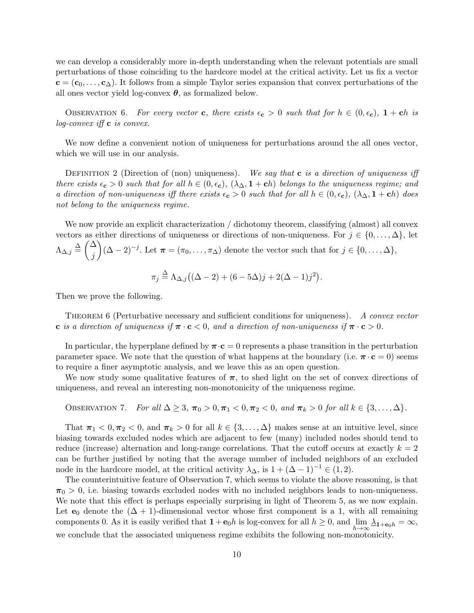we can develop a considerably more in-depth understanding when the relevant potentials are small perturbations of those coinciding to the hardcore model at the critical activity. Let us fix a vector  $c = (c_0, \ldots, c_{\Delta})$ . It follows from a simple Taylor series expansion that convex perturbations of the all ones vector yield log-convex  $\theta$ , as formalized below.

OBSERVATION 6. For every vector **c**, there exists  $\epsilon_{\mathbf{c}} > 0$  such that for  $h \in (0, \epsilon_{\mathbf{c}})$ ,  $1 + \mathbf{c}h$  is *log-convex iff* **c** *is convex.*

We now define a convenient notion of uniqueness for perturbations around the all ones vector, which we will use in our analysis.

DEFINITION 2 (Direction of (non) uniqueness). We say that **c** is a direction of uniqueness iff *there exists*  $\epsilon_c > 0$  *such that for all*  $h \in (0, \epsilon_c)$ ,  $(\lambda_\Delta, \mathbf{1} + \mathbf{c}h)$  *belongs to the uniqueness regime; and a direction of non-uniqueness iff there exists*  $\epsilon_c > 0$  *such that for all*  $h \in (0, \epsilon_c)$ ,  $(\lambda_{\Delta}, \mathbf{1} + \mathbf{c}h)$  does *not belong to the uniqueness regime.*

We now provide an explicit characterization / dichotomy theorem, classifying (almost) all convex vectors as either directions of uniqueness or directions of non-uniqueness. For  $j \in \{0, \ldots, \Delta\}$ , let  $\Lambda_{\Delta,j} \stackrel{\Delta}{=} \left( \frac{\Delta}{\Delta} \right)$ *j*  $(\Delta - 2)^{-j}$ . Let  $\boldsymbol{\pi} = (\pi_0, \ldots, \pi_\Delta)$  denote the vector such that for *j* ∈ {0, ..., Δ},  $\pi_j \stackrel{\Delta}{=} \Lambda_{\Delta,j}((\Delta - 2) + (6 - 5\Delta)j + 2(\Delta - 1)j^2).$ 

Then we prove the following.

Theorem 6 (Perturbative necessary and sufficient conditions for uniqueness). *A convex vector* **c** *is a direction of uniqueness if*  $\pi \cdot \mathbf{c} < 0$ *, and a direction of non-uniqueness if*  $\pi \cdot \mathbf{c} > 0$ *.* 

In particular, the hyperplane defined by  $\pi \cdot c = 0$  represents a phase transition in the perturbation parameter space. We note that the question of what happens at the boundary (i.e.  $\pi \cdot c = 0$ ) seems to require a finer asymptotic analysis, and we leave this as an open question.

We now study some qualitative features of  $\pi$ , to shed light on the set of convex directions of uniqueness, and reveal an interesting non-monotonicity of the uniqueness regime.

**ObservATION 7.** For all 
$$
\Delta \geq 3
$$
,  $\pi_0 > 0$ ,  $\pi_1 < 0$ ,  $\pi_2 < 0$ , and  $\pi_k > 0$  for all  $k \in \{3, \ldots, \Delta\}$ .

That  $\pi_1 < 0, \pi_2 < 0$ , and  $\pi_k > 0$  for all  $k \in \{3, \ldots, \Delta\}$  makes sense at an intuitive level, since biasing towards excluded nodes which are adjacent to few (many) included nodes should tend to reduce (increase) alternation and long-range correlations. That the cutoff occurs at exactly  $k = 2$ can be further justified by noting that the average number of included neighbors of an excluded node in the hardcore model, at the critical activity  $\lambda_{\Delta}$ , is  $1 + (\Delta - 1)^{-1} \in (1, 2)$ .

The counterintuitive feature of Observation 7, which seems to violate the above reasoning, is that  $\pi_0$  *>* 0, i.e. biasing towards excluded nodes with no included neighbors leads to non-uniqueness. We note that this effect is perhaps especially surprising in light of Theorem 5, as we now explain. Let **e**<sub>0</sub> denote the  $(\Delta + 1)$ -dimensional vector whose first component is a 1, with all remaining components 0. As it is easily verified that  $1 + e_0 h$  is log-convex for all  $h \ge 0$ , and  $\lim_{h \to \infty} \frac{\lambda_{1}}{h} + e_0 h = \infty$ , we conclude that the associated uniqueness regime exhibits the following non-monotonicity.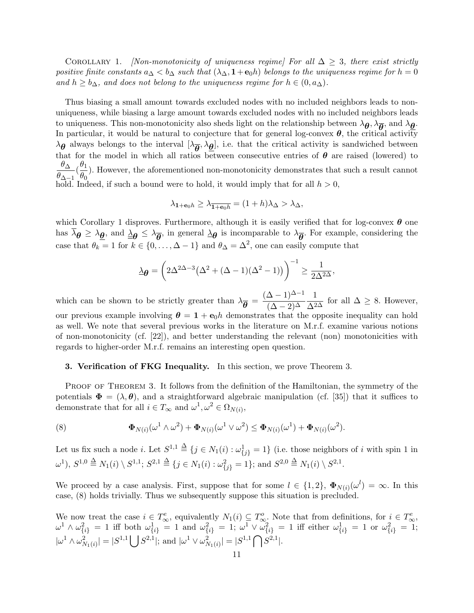COROLLARY 1. *[Non-monotonicity of uniqueness regime] For all*  $\Delta \geq 3$ *, there exist strictly positive finite constants*  $a_{\Delta} < b_{\Delta}$  *such that*  $(\lambda_{\Delta}, \mathbf{1} + \mathbf{e}_0 h)$  *belongs to the uniqueness regime for*  $h = 0$ *and*  $h \geq b_{\Delta}$ *, and does not belong to the uniqueness regime for*  $h \in (0, a_{\Delta})$ *.* 

Thus biasing a small amount towards excluded nodes with no included neighbors leads to nonuniqueness, while biasing a large amount towards excluded nodes with no included neighbors leads to uniqueness. This non-monotonicity also sheds light on the relationship between  $\lambda_{\theta}, \lambda_{\overline{\theta}},$  and  $\lambda_{\theta}$ . In particular, it would be natural to conjecture that for general log-convex  $\theta$ , the critical activity  $\lambda_{\theta}$  always belongs to the interval  $[\lambda_{\theta}, \lambda_{\theta}]$ , i.e. that the critical activity is sandwiched between that for the model in which all ratios between consecutive entries of  $\theta$  are raised (lowered) to *θ*<sup>∆</sup>  $\frac{\theta_{\Delta}}{\theta_{\Delta-1}}(\frac{\theta_1}{\theta_0})$  $\frac{\partial^2 I}{\partial \theta_0}$ . However, the aforementioned non-monotonicity demonstrates that such a result cannot hold. Indeed, if such a bound were to hold, it would imply that for all  $h > 0$ ,

$$
\lambda_{\mathbf{1}+\mathbf{e}_0h}\geq \lambda_{\overline{\mathbf{1}+\mathbf{e}_0h}}=(1+h)\lambda_{\Delta}>\lambda_{\Delta},
$$

which Corollary 1 disproves. Furthermore, although it is easily verified that for log-convex *θ* one has  $\lambda_{\theta} \geq \lambda_{\theta}$ , and  $\underline{\lambda}_{\theta} \leq \lambda_{\theta}$ , in general  $\underline{\lambda}_{\theta}$  is incomparable to  $\lambda_{\theta}$ . For example, considering the case that  $\theta_k = 1$  for  $k \in \{0, \ldots, \Delta - 1\}$  and  $\theta_{\Delta} = \Delta^2$ , one can easily compute that

$$
\Delta_{\theta} = \left( 2\Delta^{2\Delta - 3} \left( \Delta^2 + (\Delta - 1)(\Delta^2 - 1) \right) \right)^{-1} \ge \frac{1}{2\Delta^{2\Delta}},
$$

which can be shown to be strictly greater than  $\lambda_{\bar{\theta}} = \frac{(\Delta - 1)^{\Delta - 1}}{(\Delta - 2)^{\Delta}}$  $(\Delta - 2)^{\Delta}$  $\frac{1}{\Delta^{2\Delta}}$  for all  $\Delta \geq 8$ . However, our previous example involving  $\theta = 1 + e_0 h$  demonstrates that the opposite inequality can hold as well. We note that several previous works in the literature on M.r.f. examine various notions of non-monotonicity (cf. [22]), and better understanding the relevant (non) monotonicities with regards to higher-order M.r.f. remains an interesting open question.

## **3. Verification of FKG Inequality.** In this section, we prove Theorem 3.

PROOF OF THEOREM 3. It follows from the definition of the Hamiltonian, the symmetry of the potentials  $\Phi = (\lambda, \theta)$ , and a straightforward algebraic manipulation (cf. [35]) that it suffices to demonstrate that for all  $i \in T_\infty$  and  $\omega^1, \omega^2 \in \Omega_{N(i)},$ 

(8) 
$$
\Phi_{N(i)}(\omega^1 \wedge \omega^2) + \Phi_{N(i)}(\omega^1 \vee \omega^2) \leq \Phi_{N(i)}(\omega^1) + \Phi_{N(i)}(\omega^2).
$$

Let us fix such a node *i*. Let  $S^{1,1} \stackrel{\Delta}{=} \{j \in N_1(i) : \omega_{\{j\}}^1 = 1\}$  (i.e. those neighbors of *i* with spin 1 in  $(\omega^1), S^{1,0} \stackrel{\Delta}{=} N_1(i) \setminus S^{1,1}; S^{2,1} \stackrel{\Delta}{=} \{j \in N_1(i) : \omega_{\{j\}}^2 = 1\}; \text{ and } S^{2,0} \stackrel{\Delta}{=} N_1(i) \setminus S^{2,1}.$ 

We proceed by a case analysis. First, suppose that for some  $l \in \{1,2\}$ ,  $\Phi_{N(i)}(\omega^{l}) = \infty$ . In this case, (8) holds trivially. Thus we subsequently suppose this situation is precluded.

We now treat the case  $i \in T^e_\infty$ , equivalently  $N_1(i) \subseteq T^o_\infty$ . Note that from definitions, for  $i \in T^e_\infty$ ,  $\omega^1 \wedge \omega_{\{i\}}^2 = 1$  iff both  $\omega_{\{i\}}^1 = 1$  and  $\omega_{\{i\}}^2 = 1$ ;  $\omega^1 \vee \omega_{\{i\}}^2 = 1$  iff either  $\omega_{\{i\}}^1 = 1$  or  $\omega_{\{i\}}^2 = 1$ ;  $|\omega^1 \wedge \omega_{N_1(i)}^2| = |S^{1,1} \bigcup S^{2,1}|$ ; and  $|\omega^1 \vee \omega_{N_1(i)}^2| = |S^{1,1} \bigcap S^{2,1}|$ .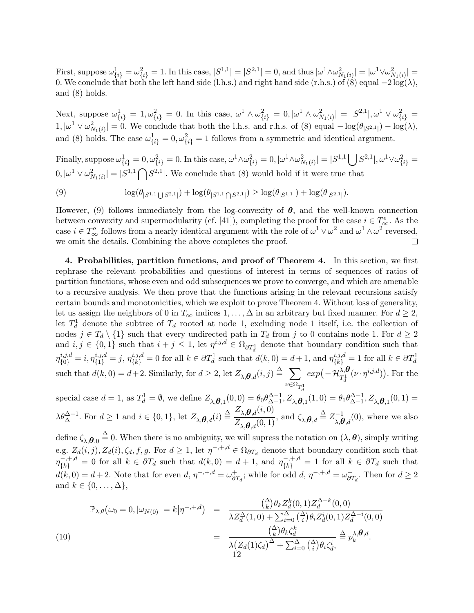First, suppose  $\omega_{\{i\}}^1 = \omega_{\{i\}}^2 = 1$ . In this case,  $|S^{1,1}| = |S^{2,1}| = 0$ , and thus  $|\omega^1 \wedge \omega_{N_1(i)}^2| = |\omega^1 \vee \omega_{N_1(i)}^2| =$ 0. We conclude that both the left hand side (l.h.s.) and right hand side (r.h.s.) of  $(\dot{8})$  equal  $-2 \log(\lambda)$ , and (8) holds.

Next, suppose  $\omega_{\{i\}}^1 = 1, \omega_{\{i\}}^2 = 0$ . In this case,  $\omega^1 \wedge \omega_{\{i\}}^2 = 0, |\omega^1 \wedge \omega_{N_1(i)}^2| = |S^{2,1}|, \omega^1 \vee \omega_{\{i\}}^2 =$  $1, |\omega^1 ∨ ω_{N_1(i)}^2| = 0$ . We conclude that both the l.h.s. and r.h.s. of (8) equal  $-\log(\theta_{|S^{2,1}|}) - \log(\lambda)$ , and (8) holds. The case  $\omega_{\{i\}}^1 = 0$ ,  $\omega_{\{i\}}^2 = 1$  follows from a symmetric and identical argument.

Finally, suppose  $\omega_{\{i\}}^1 = 0$ ,  $\omega_{\{i\}}^2 = 0$ . In this case,  $\omega^1 \wedge \omega_{\{i\}}^2 = 0$ ,  $|\omega^1 \wedge \omega_{N_1(i)}^2| = |S^{1,1} \bigcup S^{2,1}|$ ,  $\omega^1 \vee \omega_{\{i\}}^2 =$  $(0, |\omega^1 \vee \omega^2_{N_1(i)}| = |S^{1,1} \cap S^{2,1}|.$  We conclude that  $(8)$  would hold if it were true that

(9) 
$$
\log(\theta_{|S^{1,1}\bigcup S^{2,1}|}) + \log(\theta_{|S^{1,1}\bigcap S^{2,1}|}) \geq \log(\theta_{|S^{1,1}|}) + \log(\theta_{|S^{2,1}|}).
$$

However, (9) follows immediately from the log-convexity of *θ*, and the well-known connection between convexity and supermodularity (cf. [41]), completing the proof for the case  $i \in T_{\infty}^e$ . As the case  $i \in T^o_\infty$  follows from a nearly identical argument with the role of  $\omega^1 \vee \omega^2$  and  $\omega^1 \wedge \omega^2$  reversed, we omit the details. Combining the above completes the proof.  $\Box$ 

**4. Probabilities, partition functions, and proof of Theorem 4.** In this section, we first rephrase the relevant probabilities and questions of interest in terms of sequences of ratios of partition functions, whose even and odd subsequences we prove to converge, and which are amenable to a recursive analysis. We then prove that the functions arising in the relevant recursions satisfy certain bounds and monotonicities, which we exploit to prove Theorem 4. Without loss of generality, let us assign the neighbors of 0 in  $T_\infty$  indices  $1, \ldots, \Delta$  in an arbitrary but fixed manner. For  $d \geq 2$ , let  $T_d^1$  denote the subtree of  $T_d$  rooted at node 1, excluding node 1 itself, i.e. the collection of nodes  $j \in T_d \setminus \{1\}$  such that every undirected path in  $T_d$  from  $j$  to 0 contains node 1. For  $d \geq 2$ and  $i, j \in \{0, 1\}$  such that  $i + j \leq 1$ , let  $\eta^{i, j, d} \in \Omega_{\partial T^1_{d}}$  denote that boundary condition such that  $\eta_{\{0\}}^{i,j,d} = i, \eta_{\{1\}}^{i,j,d} = j, \eta_{\{k\}}^{i,j,d} = 0$  for all  $k \in \partial T_d^1$  such that  $d(k,0) = d+1$ , and  $\eta_{\{k\}}^{i,j,d} = 1$  for all  $k \in \partial T_d^1$ such that  $d(k, 0) = d + 2$ . Similarly, for  $d \geq 2$ , let  $Z_{\lambda, \theta, d}(i, j) \triangleq \sum_{\lambda}$  $ν ∈ Ω<sub>T₃₃</sub>$ *d*  $exp(-\mathcal{H}_{T_d^1}^{\lambda,\boldsymbol{\theta}}(\nu \cdot \eta^{i,j,d}))$ . For the

special case  $d = 1$ , as  $T_d^1 = \emptyset$ , we define  $Z_{\lambda,\theta,1}(0,0) = \theta_0 \theta_{\Delta-1}^{\Delta-1}$  $\Delta^{-1}_{\Delta-1}, Z_{\lambda,\theta,1}(1,0) = \theta_1 \theta_{\Delta-1}^{\Delta-1}$  $\frac{\Delta-1}{\Delta-1}, Z_{\lambda,\boldsymbol{\theta},1}(0,1) =$  $\lambda \theta_{\Delta}^{\Delta-1}$ . For  $d \geq 1$  and  $i \in \{0,1\}$ , let  $Z_{\lambda,\theta,d}(i) \stackrel{\Delta}{=} \frac{Z_{\lambda,\theta,d}(i,0)}{Z_{\lambda,\theta,d}(0,1)}$  $\frac{Z_{\lambda,\theta,d}(\iota,0)}{Z_{\lambda,\theta,d}(0,1)}$ , and  $\zeta_{\lambda,\theta,d} \stackrel{\Delta}{=} Z_{\lambda,\theta,d}^{-1}(0)$ , where we also

 $\det(\mathbf{A}, \mathbf{A}) = \det(\mathbf{A}, \mathbf{A})$ ,  $\det(\mathbf{A}, \mathbf{A}) = \det(\mathbf{A}, \mathbf{A})$ ,  $\det(\mathbf{A}, \mathbf{A}) = \det(\mathbf{A}, \mathbf{A})$ ,  $\det(\mathbf{A}, \mathbf{A}) = \det(\mathbf{A}, \mathbf{A})$ e.g.  $Z_d(i,j)$ ,  $Z_d(i)$ ,  $\zeta_d$ ,  $f, g$ . For  $d \geq 1$ , let  $\eta^{-,+,d} \in \Omega_{\partial T_d}$  denote that boundary condition such that  $\eta_{\{k\}}^{-,+,d} = 0$  for all  $k \in \partial T_d$  such that  $d(k,0) = d+1$ , and  $\eta_{\{k\}}^{-,+,d} = 1$  for all  $k \in \partial T_d$  such that  $d(k, 0) = d + 2$ . Note that for even  $d, \eta^{-, +,d} = \omega_{\partial}^{+}$  $\phi_{\text{Tr}}$ *<sup><i>d*</sup></sup>, while for odd *d*,  $\eta^{-,+,d} = \omega_{\text{Tr}}^-$ . Then for *d* ≥ 2 and  $k \in \{0, \ldots, \Delta\},\$ 

$$
\mathbb{P}_{\lambda,\theta}(\omega_0 = 0, |\omega_{N(0)}| = k \big| \eta^{-,+,d}) = \frac{\binom{\Delta}{k} \theta_k Z_d^k(0,1) Z_d^{\Delta-k}(0,0)}{\lambda Z_d^{\Delta}(1,0) + \sum_{i=0}^{\Delta} \binom{\Delta}{i} \theta_i Z_d^i(0,1) Z_d^{\Delta-i}(0,0)} = \frac{\binom{\Delta}{k} \theta_k \zeta_d^k}{\lambda (Z_d(1)\zeta_d)^{\Delta} + \sum_{i=0}^{\Delta} \binom{\Delta}{i} \theta_i \zeta_d^i} \stackrel{\Delta}{=} p_k^{\lambda,\theta,d}.
$$
\n(10)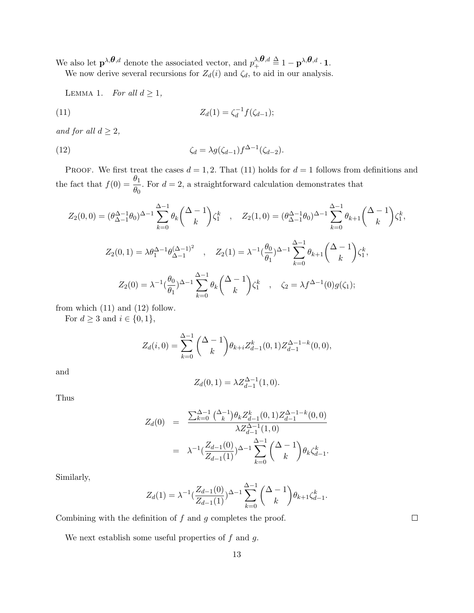We also let  $\mathbf{p}^{\lambda,\theta,d}$  denote the associated vector, and  $p^{\lambda,\theta,d}_{+} \stackrel{\Delta}{=} 1 - \mathbf{p}^{\lambda,\theta,d} \cdot \mathbf{1}$ .

We now derive several recursions for  $Z_d(i)$  and  $\zeta_d$ , to aid in our analysis.

LEMMA 1. *For all*  $d \geq 1$ *,* 

(11) 
$$
Z_d(1) = \zeta_d^{-1} f(\zeta_{d-1});
$$

*and for all*  $d \geq 2$ *,* 

(12) 
$$
\zeta_d = \lambda g(\zeta_{d-1}) f^{\Delta - 1}(\zeta_{d-2}).
$$

**PROOF.** We first treat the cases  $d = 1, 2$ . That (11) holds for  $d = 1$  follows from definitions and the fact that  $f(0) = \frac{\theta_1}{\theta_2}$  $\frac{\partial^2 I}{\partial \theta_0}$ . For  $d = 2$ , a straightforward calculation demonstrates that

$$
Z_2(0,0) = (\theta_{\Delta-1}^{\Delta-1}\theta_0)^{\Delta-1} \sum_{k=0}^{\Delta-1} \theta_k \binom{\Delta-1}{k} \zeta_1^k , \quad Z_2(1,0) = (\theta_{\Delta-1}^{\Delta-1}\theta_0)^{\Delta-1} \sum_{k=0}^{\Delta-1} \theta_{k+1} \binom{\Delta-1}{k} \zeta_1^k,
$$
  

$$
Z_2(0,1) = \lambda \theta_1^{\Delta-1} \theta_{\Delta-1}^{(\Delta-1)^2} , \quad Z_2(1) = \lambda^{-1} (\frac{\theta_0}{\theta_1})^{\Delta-1} \sum_{k=0}^{\Delta-1} \theta_{k+1} \binom{\Delta-1}{k} \zeta_1^k,
$$
  

$$
Z_2(0) = \lambda^{-1} (\frac{\theta_0}{\theta_1})^{\Delta-1} \sum_{k=0}^{\Delta-1} \theta_k \binom{\Delta-1}{k} \zeta_1^k , \quad \zeta_2 = \lambda f^{\Delta-1}(0) g(\zeta_1);
$$

from which  $(11)$  and  $(12)$  follow.

For  $d \geq 3$  and  $i \in \{0, 1\}$ ,

$$
Z_d(i,0) = \sum_{k=0}^{\Delta-1} { \Delta - 1 \choose k} \theta_{k+i} Z_{d-1}^k(0,1) Z_{d-1}^{\Delta-1-k}(0,0),
$$

and

$$
Z_d(0,1) = \lambda Z_{d-1}^{\Delta - 1}(1,0).
$$

Thus

$$
Z_d(0) = \frac{\sum_{k=0}^{\Delta-1} {\lambda-1 \choose k} \theta_k Z_{d-1}^k(0,1) Z_{d-1}^{\Delta-1-k}(0,0)}{\lambda Z_{d-1}^{\Delta-1}(1,0)}
$$
  

$$
= \lambda^{-1} \left( \frac{Z_{d-1}(0)}{Z_{d-1}(1)} \right)^{\Delta-1} \sum_{k=0}^{\Delta-1} {\lambda-1 \choose k} \theta_k \zeta_{d-1}^k.
$$

Similarly,

$$
Z_d(1) = \lambda^{-1} \left( \frac{Z_{d-1}(0)}{Z_{d-1}(1)} \right)^{\Delta - 1} \sum_{k=0}^{\Delta - 1} \binom{\Delta - 1}{k} \theta_{k+1} \zeta_{d-1}^k.
$$

Combining with the definition of *f* and *g* completes the proof.

We next establish some useful properties of *f* and *g*.

 $\Box$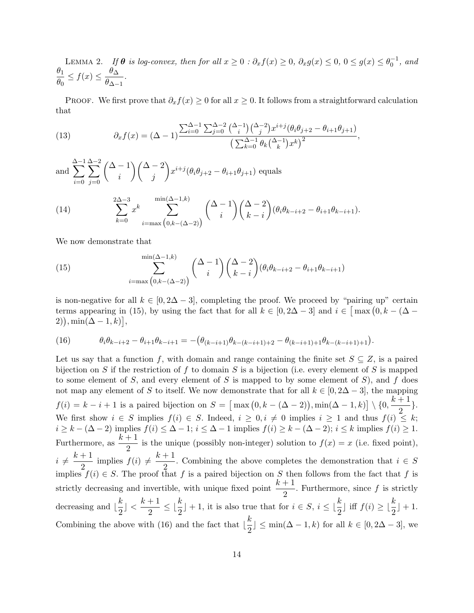LEMMA 2. If  $\theta$  is log-convex, then for all  $x \ge 0$  :  $\partial_x f(x) \ge 0$ ,  $\partial_x g(x) \le 0$ ,  $0 \le g(x) \le \theta_0^{-1}$ , and  $\theta_1$  $\frac{\theta_1}{\theta_0} \le f(x) \le \frac{\theta_{\Delta}}{\theta_{\Delta-}}$  $\frac{\partial \Delta}{\partial \Delta - 1}$ .

PROOF. We first prove that  $\partial_x f(x) \geq 0$  for all  $x \geq 0$ . It follows from a straightforward calculation that

(13) 
$$
\partial_x f(x) = (\Delta - 1) \frac{\sum_{i=0}^{\Delta - 1} \sum_{j=0}^{\Delta - 2} {\binom{\Delta - 1}{i}} {\binom{\Delta - 2}{j}} x^{i+j} (\theta_i \theta_{j+2} - \theta_{i+1} \theta_{j+1})}{\left(\sum_{k=0}^{\Delta - 1} \theta_k {\binom{\Delta - 1}{k}} x^k\right)^2},
$$

and ∆ ∑*−*1 *i*=0 ∆ ∑*−*2 *j*=0 ( ∆ *−* 1 *i* )(∆ *−* 2 *j*  $\setminus$  $x^{i+j}(\theta_i \theta_{j+2} - \theta_{i+1} \theta_{j+1})$  equals

(14) 
$$
\sum_{k=0}^{2\Delta-3} x^k \sum_{i=\max(0,k-(\Delta-2))}^{\min(\Delta-1,k)} \binom{\Delta-1}{i} \binom{\Delta-2}{k-i} (\theta_i \theta_{k-i+2} - \theta_{i+1} \theta_{k-i+1}).
$$

We now demonstrate that

(15) 
$$
\sum_{i=\max(0,k-(\Delta-2))}^{\min(\Delta-1,k)} \binom{\Delta-1}{i} \binom{\Delta-2}{k-i} (\theta_i \theta_{k-i+2} - \theta_{i+1} \theta_{k-i+1})
$$

is non-negative for all  $k \in [0, 2\Delta - 3]$ , completing the proof. We proceed by "pairing up" certain terms appearing in (15), by using the fact that for all  $k \in [0, 2\Delta - 3]$  and  $i \in [\max(0, k - (\Delta 2)$ , min( $\Delta - 1, k$ )

(16) 
$$
\theta_i \theta_{k-i+2} - \theta_{i+1} \theta_{k-i+1} = -(\theta_{(k-i+1)} \theta_{k-(k-i+1)+2} - \theta_{(k-i+1)+1} \theta_{k-(k-i+1)+1}).
$$

Let us say that a function *f*, with domain and range containing the finite set  $S \subseteq Z$ , is a paired bijection on *S* if the restriction of *f* to domain *S* is a bijection (i.e. every element of *S* is mapped to some element of *S*, and every element of *S* is mapped to by some element of *S*), and *f* does not map any element of *S* to itself. We now demonstrate that for all  $k \in [0, 2\Delta - 3]$ , the mapping  $f(i) = k - i + 1$  is a paired bijection on  $S = \left[ \max(0, k - (\Delta - 2)) \right]$ ,  $\min(\Delta - 1, k) \left[ \sum_{n=1}^{\infty} \frac{k+1}{n} \right]$  $\frac{1}{2}$ . We first show  $i \in S$  implies  $f(i) \in S$ . Indeed,  $i \geq 0, i \neq 0$  implies  $i \geq 1$  and thus  $f(i) \leq k$ ;  $i \geq k - (\Delta - 2)$  implies  $f(i) \leq \Delta - 1$ ;  $i \leq \Delta - 1$  implies  $f(i) \geq k - (\Delta - 2)$ ;  $i \leq k$  implies  $f(i) \geq 1$ . Furthermore, as  $\frac{k+1}{2}$  is the unique (possibly non-integer) solution to  $f(x) = x$  (i.e. fixed point),  $i \neq \frac{k+1}{2}$  $\frac{1}{2}$  implies  $f(i) \neq \frac{k+1}{2}$  $\frac{1}{2}$ . Combining the above completes the demonstration that  $i \in S$ implies  $f(i) \in S$ . The proof that *f* is a paired bijection on *S* then follows from the fact that *f* is strictly decreasing and invertible, with unique fixed point  $\frac{k+1}{2}$ . Furthermore, since f is strictly decreasing and  $\frac{k}{2}$  $\frac{k}{2}$ ] <  $\frac{k+1}{2}$  $\frac{1}{2} + \frac{1}{2}$   $\leq \lfloor \frac{k}{2} \rfloor + 1$ , it is also true that for  $i \in S$ ,  $i \leq \lfloor \frac{k}{2} \rfloor$  iff  $f(i) \geq \lfloor \frac{k}{2} \rfloor + 1$ . Combining the above with (16) and the fact that  $\frac{k}{2}$  $\frac{\pi}{2}$  ≤ min( $\Delta$  *−* 1*, k*) for all  $k \in [0, 2\Delta - 3]$ , we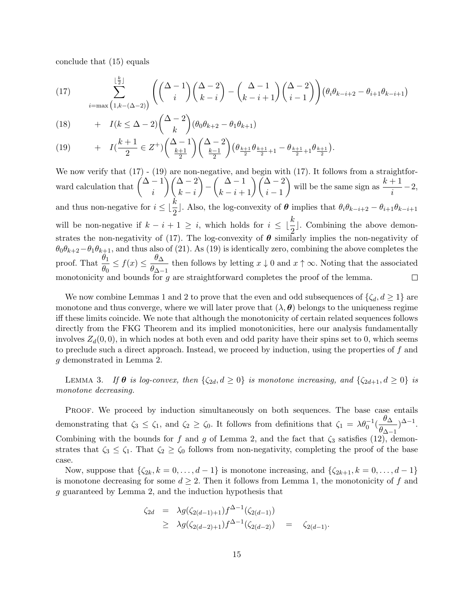conclude that (15) equals

(17) 
$$
\sum_{i=\max\left(1,k-(\Delta-2)\right)}^{\lfloor \frac{k}{2} \rfloor} \left( \binom{\Delta-1}{i} \binom{\Delta-2}{k-i} - \binom{\Delta-1}{k-i+1} \binom{\Delta-2}{i-1} \right) \left(\theta_i \theta_{k-i+2} - \theta_{i+1} \theta_{k-i+1}\right)
$$

(18) 
$$
+ I(k \leq \Delta - 2) \binom{\Delta - 2}{k} (\theta_0 \theta_{k+2} - \theta_1 \theta_{k+1})
$$

(19) 
$$
+ I\left(\frac{k+1}{2} \in Z^{+}\right) \left(\frac{\Delta-1}{\frac{k+1}{2}}\right) \left(\frac{\Delta-2}{\frac{k-1}{2}}\right) \left(\theta_{\frac{k+1}{2}}\theta_{\frac{k+1}{2}+1} - \theta_{\frac{k+1}{2}+1}\theta_{\frac{k+1}{2}}\right).
$$

We now verify that  $(17)$  -  $(19)$  are non-negative, and begin with  $(17)$ . It follows from a straightforward calculation that  $\left(\Delta - 1\right)$ )(∆ *−* 2  $\setminus$  $\binom{\Delta-1}{k-i+1}$  $\binom{\Delta-2}{i-1}$ will be the same sign as  $\frac{k+1}{i} - 2$ , *− i k − i* and thus non-negative for  $i \leq \lfloor \frac{k}{2} \rfloor$ . Also, the log-convexity of  $\theta$  implies that  $\theta_i \theta_{k-i+2} - \theta_{i+1} \theta_{k-i+1}$ will be non-negative if  $k - i + 1 \geq i$ , which holds for  $i \leq \lfloor \frac{k}{2} \rfloor$ . Combining the above demonstrates the non-negativity of (17). The log-convexity of  $\theta$  similarly implies the non-negativity of  $\theta_0 \theta_{k+2} - \theta_1 \theta_{k+1}$ , and thus also of (21). As (19) is identically zero, combining the above completes the proof. That  $\frac{\theta_1}{\theta_2}$  $\frac{\theta_1}{\theta_0} \le f(x) \le \frac{\theta_{\Delta}}{\theta_{\Delta-}}$  $\frac{\partial^2 A}{\partial \Delta - 1}$  then follows by letting *x*  $\downarrow$  0 and *x*  $\uparrow \infty$ . Noting that the associated monotonicity and bounds for *g* are straightforward completes the proof of the lemma.  $\Box$ 

We now combine Lemmas 1 and 2 to prove that the even and odd subsequences of  $\{\zeta_d, d \geq 1\}$  are monotone and thus converge, where we will later prove that  $(\lambda, \theta)$  belongs to the uniqueness regime iff these limits coincide. We note that although the monotonicity of certain related sequences follows directly from the FKG Theorem and its implied monotonicities, here our analysis fundamentally involves  $Z_d(0,0)$ , in which nodes at both even and odd parity have their spins set to 0, which seems to preclude such a direct approach. Instead, we proceed by induction, using the properties of *f* and *g* demonstrated in Lemma 2.

LEMMA 3. *If*  $\theta$  *is log-convex, then*  $\{\zeta_{2d}, d \geq 0\}$  *is monotone increasing, and*  $\{\zeta_{2d+1}, d \geq 0\}$  *is monotone decreasing.*

PROOF. We proceed by induction simultaneously on both sequences. The base case entails demonstrating that  $\zeta_3 \leq \zeta_1$ , and  $\zeta_2 \geq \zeta_0$ . It follows from definitions that  $\zeta_1 = \lambda \theta_0^{-1} (\frac{\theta \Delta_0}{\theta \Delta_0})$  $\frac{\theta \Delta}{\theta_{\Delta-1}}$ <sup> $\Delta-1$ </sup>. Combining with the bounds for *f* and *g* of Lemma 2, and the fact that  $\zeta_3$  satisfies (12), demonstrates that  $\zeta_3 \leq \zeta_1$ . That  $\zeta_2 \geq \zeta_0$  follows from non-negativity, completing the proof of the base case.

Now, suppose that  $\{\zeta_{2k}, k = 0, \ldots, d-1\}$  is monotone increasing, and  $\{\zeta_{2k+1}, k = 0, \ldots, d-1\}$ is monotone decreasing for some  $d \geq 2$ . Then it follows from Lemma 1, the monotonicity of f and *g* guaranteed by Lemma 2, and the induction hypothesis that

$$
\zeta_{2d} = \lambda g(\zeta_{2(d-1)+1}) f^{\Delta-1}(\zeta_{2(d-1)})
$$
  
\n
$$
\geq \lambda g(\zeta_{2(d-2)+1}) f^{\Delta-1}(\zeta_{2(d-2)}) = \zeta_{2(d-1)}.
$$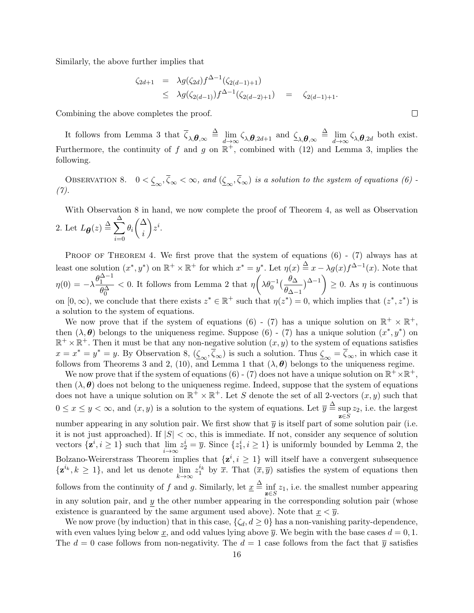Similarly, the above further implies that

$$
\zeta_{2d+1} = \lambda g(\zeta_{2d}) f^{\Delta-1}(\zeta_{2(d-1)+1})
$$
  
 
$$
\leq \lambda g(\zeta_{2(d-1)}) f^{\Delta-1}(\zeta_{2(d-2)+1}) = \zeta_{2(d-1)+1}.
$$

Combining the above completes the proof.

It follows from Lemma 3 that  $\overline{\zeta}_{\lambda,\theta,\infty} \stackrel{\Delta}{=} \lim_{d \to \infty} \zeta_{\lambda,\theta,2d+1}$  and  $\underline{\zeta}_{\lambda,\theta,\infty} \stackrel{\Delta}{=} \lim_{d \to \infty} \zeta_{\lambda,\theta,2d}$  both exist. Furthermore, the continuity of f and g on  $\mathbb{R}^+$ , combined with (12) and Lemma 3, implies the following.

OBSERVATION 8.  $0 < \underline{\zeta}_{\infty}, \overline{\zeta}_{\infty} < \infty$ , and  $(\underline{\zeta}_{\infty}, \overline{\zeta}_{\infty})$  is a solution to the system of equations (6) -*(7).*

With Observation 8 in hand, we now complete the proof of Theorem 4, as well as Observation 2. Let  $L_{\theta}(z) \stackrel{\Delta}{=} \sum^{\Delta}$ *i*=0 *θi*  $\sqrt{\Delta}$ *i*  $\setminus$ *z i* .

PROOF OF THEOREM 4. We first prove that the system of equations  $(6)$  -  $(7)$  always has at least one solution  $(x^*, y^*)$  on  $\mathbb{R}^+ \times \mathbb{R}^+$  for which  $x^* = y^*$ . Let  $\eta(x) \stackrel{\Delta}{=} x - \lambda g(x) f^{\Delta - 1}(x)$ . Note that  $\eta(0) = -\lambda \frac{\theta_1^{\Delta-1}}{2\Delta}$  $\theta_0^{\Delta}$ *<* 0. It follows from Lemma 2 that *η*  $\left(\lambda \theta_0^{-1}\left(\frac{\theta_{\Delta}}{\theta}\right)\right)$ *θ*∆*−*<sup>1</sup> )∆*−*<sup>1</sup> )  $\geq 0$ . As  $\eta$  is continuous on  $[0, \infty)$ , we conclude that there exists  $z^* \in \mathbb{R}^+$  such that  $\eta(z^*) = 0$ , which implies that  $(z^*, z^*)$  is a solution to the system of equations.

We now prove that if the system of equations (6) - (7) has a unique solution on  $\mathbb{R}^+ \times \mathbb{R}^+$ , then  $(\lambda, \theta)$  belongs to the uniqueness regime. Suppose (6) - (7) has a unique solution  $(x^*, y^*)$  on  $\mathbb{R}^+ \times \mathbb{R}^+$ . Then it must be that any non-negative solution  $(x, y)$  to the system of equations satisfies  $x = x^* = y^* = y$ . By Observation 8,  $(\underline{\zeta}_{\infty}, \overline{\zeta}_{\infty})$  is such a solution. Thus  $\underline{\zeta}_{\infty} = \overline{\zeta}_{\infty}$ , in which case it follows from Theorems 3 and 2, (10), and Lemma 1 that  $(\lambda, \theta)$  belongs to the uniqueness regime.

We now prove that if the system of equations (6) - (7) does not have a unique solution on  $\mathbb{R}^+ \times \mathbb{R}^+$ , then  $(\lambda, \theta)$  does not belong to the uniqueness regime. Indeed, suppose that the system of equations does not have a unique solution on  $\mathbb{R}^+ \times \mathbb{R}^+$ . Let *S* denote the set of all 2-vectors  $(x, y)$  such that  $0 \le x \le y < \infty$ , and  $(x, y)$  is a solution to the system of equations. Let  $\overline{y} \stackrel{\Delta}{=}$  sup sup  $z_2$ , i.e. the largest  $z ∈ S$ number appearing in any solution pair. We first show that  $\bar{y}$  is itself part of some solution pair (i.e. it is not just approached). If  $|S| < \infty$ , this is immediate. If not, consider any sequence of solution vectors  $\{\mathbf{z}^i, i \geq 1\}$  such that  $\lim_{i \to \infty} z_2^i = \overline{y}$ . Since  $\{z_1^i, i \geq 1\}$  is uniformly bounded by Lemma 2, the Bolzano-Weirerstrass Theorem implies that  $\{z^i, i \geq 1\}$  will itself have a convergent subsequence  $\{z^{i_k}, k \geq 1\}$ , and let us denote  $\lim_{k \to \infty} z_1^{i_k}$  by  $\overline{x}$ . That  $(\overline{x}, \overline{y})$  satisfies the system of equations then

follows from the continuity of *f* and *g*. Similarly, let  $\underline{x} \triangleq \inf_{\mathbf{z} \in S} z_1$ , i.e. the smallest number appearing in any solution pair, and *y* the other number appearing in the corresponding solution pair (whose existence is guaranteed by the same argument used above). Note that  $x < \overline{y}$ .

We now prove (by induction) that in this case,  $\{\zeta_d, d \geq 0\}$  has a non-vanishing parity-dependence, with even values lying below x, and odd values lying above  $\bar{y}$ . We begin with the base cases  $d = 0, 1$ . The  $d = 0$  case follows from non-negativity. The  $d = 1$  case follows from the fact that  $\bar{y}$  satisfies

 $\Box$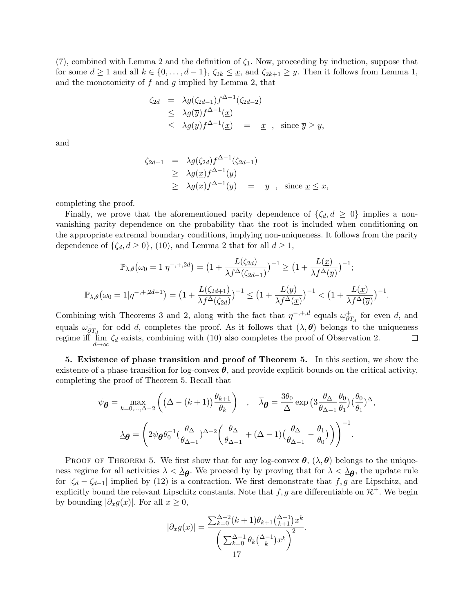(7), combined with Lemma 2 and the definition of *ζ*1. Now, proceeding by induction, suppose that for some  $d \geq 1$  and all  $k \in \{0, \ldots, d-1\}$ ,  $\zeta_{2k} \leq \underline{x}$ , and  $\zeta_{2k+1} \geq \overline{y}$ . Then it follows from Lemma 1, and the monotonicity of *f* and *g* implied by Lemma 2, that

$$
\zeta_{2d} = \lambda g(\zeta_{2d-1}) f^{\Delta-1}(\zeta_{2d-2})
$$
  
\n
$$
\leq \lambda g(\overline{y}) f^{\Delta-1}(\underline{x})
$$
  
\n
$$
\leq \lambda g(\underline{y}) f^{\Delta-1}(\underline{x}) = \underline{x} , \text{ since } \overline{y} \geq \underline{y},
$$

and

$$
\zeta_{2d+1} = \lambda g(\zeta_{2d}) f^{\Delta-1}(\zeta_{2d-1})
$$
  
\n
$$
\geq \lambda g(\underline{x}) f^{\Delta-1}(\overline{y})
$$
  
\n
$$
\geq \lambda g(\overline{x}) f^{\Delta-1}(\overline{y}) = \overline{y} , \text{ since } \underline{x} \leq \overline{x},
$$

completing the proof.

Finally, we prove that the aforementioned parity dependence of  $\{\zeta_d, d \geq 0\}$  implies a nonvanishing parity dependence on the probability that the root is included when conditioning on the appropriate extremal boundary conditions, implying non-uniqueness. It follows from the parity dependence of  $\{\zeta_d, d \geq 0\}$ , (10), and Lemma 2 that for all  $d \geq 1$ ,

$$
\mathbb{P}_{\lambda,\theta}(\omega_0 = 1 | \eta^{-,+,2d}) = \left(1 + \frac{L(\zeta_{2d})}{\lambda f^{\Delta}(\zeta_{2d-1})}\right)^{-1} \ge \left(1 + \frac{L(\underline{x})}{\lambda f^{\Delta}(\overline{y})}\right)^{-1};
$$
  

$$
\mathbb{P}_{\lambda,\theta}(\omega_0 = 1 | \eta^{-,+,2d+1}) = \left(1 + \frac{L(\zeta_{2d+1})}{\lambda f^{\Delta}(\zeta_{2d})}\right)^{-1} \le \left(1 + \frac{L(\overline{y})}{\lambda f^{\Delta}(\underline{x})}\right)^{-1} < \left(1 + \frac{L(\underline{x})}{\lambda f^{\Delta}(\overline{y})}\right)^{-1}.
$$

Combining with Theorems 3 and 2, along with the fact that  $\eta^{-,+,d}$  equals  $\omega_{\partial}^{+}$  $\overset{+}{\partial T_d}$  for even *d*, and equals  $\omega_{\partial T_d}^-$  for odd *d*, completes the proof. As it follows that  $(\lambda, \theta)$  belongs to the uniqueness regime iff  $\lim_{d \to \infty} \zeta_d$  exists, combining with (10) also completes the proof of Observation 2.  $\Box$ *d→∞*

**5. Existence of phase transition and proof of Theorem 5.** In this section, we show the existence of a phase transition for log-convex  $\theta$ , and provide explicit bounds on the critical activity, completing the proof of Theorem 5. Recall that

$$
\psi_{\theta} = \max_{k=0,\dots,\Delta-2} \left( \left( \Delta - (k+1) \right) \frac{\theta_{k+1}}{\theta_k} \right) , \quad \overline{\lambda}_{\theta} = \frac{3\theta_0}{\Delta} \exp \left( 3 \frac{\theta_{\Delta}}{\theta_{\Delta-1}} \frac{\theta_0}{\theta_1} \right) \left( \frac{\theta_0}{\theta_1} \right)^{\Delta},
$$

$$
\Delta_{\theta} = \left( 2\psi_{\theta} \theta_0^{-1} \left( \frac{\theta_{\Delta}}{\theta_{\Delta-1}} \right)^{\Delta-2} \left( \frac{\theta_{\Delta}}{\theta_{\Delta-1}} + (\Delta - 1) \left( \frac{\theta_{\Delta}}{\theta_{\Delta-1}} - \frac{\theta_1}{\theta_0} \right) \right) \right)^{-1}.
$$

PROOF OF THEOREM 5. We first show that for any log-convex  $\theta$ ,  $(\lambda, \theta)$  belongs to the uniqueness regime for all activities  $\lambda < \lambda_{\theta}$ . We proceed by by proving that for  $\lambda < \lambda_{\theta}$ , the update rule for  $|\zeta_d - \zeta_{d-1}|$  implied by (12) is a contraction. We first demonstrate that *f, g* are Lipschitz, and explicitly bound the relevant Lipschitz constants. Note that  $f, g$  are differentiable on  $\mathcal{R}^+$ . We begin by bounding  $|\partial_x g(x)|$ . For all  $x \geq 0$ ,

$$
|\partial_x g(x)| = \frac{\sum_{k=0}^{\Delta-2} (k+1)\theta_{k+1} {\Delta-1 \choose k+1} x^k}{{\sum_{k=0}^{\Delta-1} \theta_k {\Delta-1 \choose k} x^k}^2}.
$$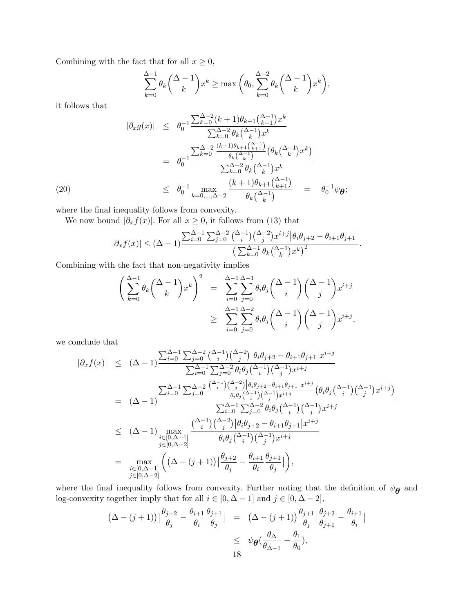Combining with the fact that for all  $x \geq 0$ ,

$$
\sum_{k=0}^{\Delta-1} \theta_k {\Delta-1 \choose k} x^k \ge \max\left(\theta_0, \sum_{k=0}^{\Delta-2} \theta_k {\Delta-1 \choose k} x^k\right),
$$

it follows that

$$
|\partial_x g(x)| \leq \theta_0^{-1} \frac{\sum_{k=0}^{\Delta-2} (k+1)\theta_{k+1} \left(\frac{\Delta-1}{k+1}\right) x^k}{\sum_{k=0}^{\Delta-2} \theta_k \left(\frac{\Delta-1}{k}\right) x^k}
$$
  
\n
$$
= \theta_0^{-1} \frac{\sum_{k=0}^{\Delta-2} \frac{(k+1)\theta_{k+1} \left(\frac{\Delta-1}{k+1}\right)}{\theta_k \left(\frac{\Delta-1}{k}\right)} \left(\theta_k \left(\frac{\Delta-1}{k}\right) x^k\right)}{\sum_{k=0}^{\Delta-2} \theta_k \left(\frac{\Delta-1}{k}\right) x^k}
$$
  
\n
$$
\leq \theta_0^{-1} \max_{k=0,\dots,\Delta-2} \frac{\left(k+1\right) \theta_{k+1} \left(\frac{\Delta-1}{k+1}\right)}{\theta_k \left(\frac{\Delta-1}{k}\right)} = \theta_0^{-1} \psi_{\theta};
$$

where the final inequality follows from convexity.

We now bound  $|\partial_x f(x)|$ . For all  $x \geq 0$ , it follows from (13) that

$$
|\partial_x f(x)| \leq (\Delta - 1) \frac{\sum_{i=0}^{\Delta - 1} \sum_{j=0}^{\Delta - 2} {\binom{\Delta - 1}{i}} {\binom{\Delta - 2}{j}} x^{i+j} |\theta_i \theta_{j+2} - \theta_{i+1} \theta_{j+1}|}{\left(\sum_{k=0}^{\Delta - 1} \theta_k {\binom{\Delta - 1}{k}} x^k\right)^2}.
$$

Combining with the fact that non-negativity implies

$$
\left(\sum_{k=0}^{\Delta-1} \theta_k \binom{\Delta-1}{k} x^k\right)^2 = \sum_{i=0}^{\Delta-1} \sum_{j=0}^{\Delta-1} \theta_i \theta_j \binom{\Delta-1}{i} \binom{\Delta-1}{j} x^{i+j}
$$
  
 
$$
\geq \sum_{i=0}^{\Delta-1} \sum_{j=0}^{\Delta-2} \theta_i \theta_j \binom{\Delta-1}{i} \binom{\Delta-1}{j} x^{i+j},
$$

we conclude that

$$
\begin{array}{rcl}\n|\partial_{x}f(x)| &\leq & (\Delta-1) \frac{\sum_{i=0}^{\Delta-1} \sum_{j=0}^{\Delta-2} \binom{\Delta-1}{i} \binom{\Delta-2}{j} \left| \theta_{i} \theta_{j+2} - \theta_{i+1} \theta_{j+1} \right| x^{i+j}}{\sum_{i=0}^{\Delta-1} \sum_{j=0}^{\Delta-2} \theta_{i} \theta_{j} \binom{\Delta-1}{i} \binom{\Delta-1}{j} x^{i+j}} \\
&=& (\Delta-1) \frac{\sum_{i=0}^{\Delta-1} \sum_{j=0}^{\Delta-2} \frac{\binom{\Delta-1}{i} \binom{\Delta-2}{j} \left| \theta_{i} \theta_{j+2} - \theta_{i+1} \theta_{j+1} \right| x^{i+j}}{\theta_{i} \theta_{j} \binom{\Delta-1}{i} \binom{\Delta-1}{j} x^{i+j}} \left( \theta_{i} \theta_{j} \binom{\Delta-1}{i} \binom{\Delta-1}{j} x^{i+j} \right)} \\
&\leq & (\Delta-1) \frac{\sum_{i=0}^{\Delta-1} \sum_{j=0}^{\Delta-2} \theta_{i} \theta_{j} \binom{\Delta-1}{i} \binom{\Delta-1}{j} x^{i+j}}{\theta_{i} \theta_{j} \binom{\Delta-1}{i} \binom{\Delta-1}{j} x^{i+j}} \\
&=& \frac{\sum_{i=0}^{\Delta-1} (\Delta-1)}{\sum_{j=0}^{\Delta-2} \theta_{i} \theta_{j} \binom{\Delta-1}{i} \binom{\Delta-1}{j} x^{i+j}}}{\theta_{i} \theta_{j} \binom{\Delta-1}{i} \binom{\Delta-1}{j} x^{i+j}} \\
&=& \max_{i \in [0, \Delta-1]} \left( (\Delta - (j+1)) \Big| \frac{\theta_{j+2}}{\theta_{j}} - \frac{\theta_{i+1}}{\theta_{i}} \frac{\theta_{j+1}}{\theta_{j}} \Big| \right),\n\end{array}
$$

where the final inequality follows from convexity. Further noting that the definition of  $\psi_{\theta}$  and log-convexity together imply that for all  $i \in [0, \Delta - 1]$  and  $j \in [0, \Delta - 2]$ ,

$$
(\Delta - (j+1))\left|\frac{\theta_{j+2}}{\theta_j} - \frac{\theta_{i+1}}{\theta_i}\frac{\theta_{j+1}}{\theta_j}\right| = (\Delta - (j+1))\frac{\theta_{j+1}}{\theta_j}\left|\frac{\theta_{j+2}}{\theta_{j+1}} - \frac{\theta_{i+1}}{\theta_i}\right|
$$
  
\$\leq \psi\_{\theta}(\frac{\theta\_{\Delta}}{\theta\_{\Delta-1}} - \frac{\theta\_1}{\theta\_0}),\$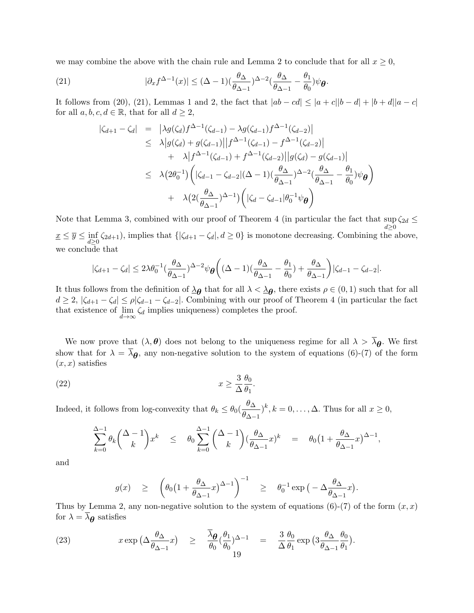we may combine the above with the chain rule and Lemma 2 to conclude that for all  $x \geq 0$ ,

(21) 
$$
|\partial_x f^{\Delta-1}(x)| \leq (\Delta - 1)(\frac{\theta_\Delta}{\theta_{\Delta-1}})^{\Delta-2}(\frac{\theta_\Delta}{\theta_{\Delta-1}} - \frac{\theta_1}{\theta_0})\psi_{\boldsymbol{\theta}}.
$$

It follows from (20), (21), Lemmas 1 and 2, the fact that  $|ab - cd| \leq |a + c||b - d| + |b + d||a - c|$ for all  $a, b, c, d \in \mathbb{R}$ , that for all  $d \geq 2$ ,

$$
\begin{array}{rcl}\n|\zeta_{d+1} - \zeta_{d}| & = & \left| \lambda g(\zeta_{d}) f^{\Delta - 1}(\zeta_{d-1}) - \lambda g(\zeta_{d-1}) f^{\Delta - 1}(\zeta_{d-2}) \right| \\
& \leq & \lambda \left| g(\zeta_{d}) + g(\zeta_{d-1}) \right| \left| f^{\Delta - 1}(\zeta_{d-1}) - f^{\Delta - 1}(\zeta_{d-2}) \right| \\
& & + & \lambda \left| f^{\Delta - 1}(\zeta_{d-1}) + f^{\Delta - 1}(\zeta_{d-2}) \right| \left| g(\zeta_{d}) - g(\zeta_{d-1}) \right| \\
& \leq & \lambda \left( 2\theta_0^{-1} \right) \left( |\zeta_{d-1} - \zeta_{d-2}| (\Delta - 1) (\frac{\theta_\Delta}{\theta_{\Delta - 1}})^{\Delta - 2} (\frac{\theta_\Delta}{\theta_{\Delta - 1}} - \frac{\theta_1}{\theta_0}) \psi_{\theta} \right) \\
& & + & \lambda \left( 2(\frac{\theta_\Delta}{\theta_{\Delta - 1}})^{\Delta - 1} \right) \left( |\zeta_{d} - \zeta_{d-1}| \theta_0^{-1} \psi_{\theta} \right)\n\end{array}
$$

Note that Lemma 3, combined with our proof of Theorem 4 (in particular the fact that  $\sup \zeta_{2d} \leq$ *d≥*0  $\underline{x} \leq \overline{y} \leq \inf_{d \geq 0} \zeta_{2d+1}$ , implies that  $\{|\zeta_{d+1} - \zeta_d|, d \geq 0\}$  is monotone decreasing. Combining the above, we conclude that

$$
|\zeta_{d+1}-\zeta_d|\leq 2\lambda \theta_0^{-1}(\frac{\theta_\Delta}{\theta_{\Delta-1}})^{\Delta-2}\psi\boldsymbol\theta\bigg((\Delta-1)(\frac{\theta_\Delta}{\theta_{\Delta-1}}-\frac{\theta_1}{\theta_0})+\frac{\theta_\Delta}{\theta_{\Delta-1}}\bigg)|\zeta_{d-1}-\zeta_{d-2}|.
$$

It thus follows from the definition of  $\lambda \theta$  that for all  $\lambda < \lambda \theta$ , there exists  $\rho \in (0,1)$  such that for all  $d \geq 2$ ,  $|\zeta_{d+1} - \zeta_d| \leq \rho |\zeta_{d-1} - \zeta_{d-2}|$ . Combining with our proof of Theorem 4 (in particular the fact that existence of  $\lim_{d \to \infty} \zeta_d$  implies uniqueness) completes the proof.

We now prove that  $(\lambda, \theta)$  does not belong to the uniqueness regime for all  $\lambda > \lambda_{\theta}$ . We first show that for  $\lambda = \lambda_{\theta}$ , any non-negative solution to the system of equations (6)-(7) of the form  $(x, x)$  satisfies

(22) 
$$
x \ge \frac{3}{\Delta} \frac{\theta_0}{\theta_1}.
$$

Indeed, it follows from log-convexity that  $\theta_k \leq \theta_0 \left( \frac{\theta \Delta_k}{n} \right)$  $\left(\frac{\theta \Delta}{\theta_{\Delta-1}}\right)^k$ ,  $k = 0, \ldots, \Delta$ . Thus for all  $x \ge 0$ ,

$$
\sum_{k=0}^{\Delta-1} \theta_k \binom{\Delta-1}{k} x^k \leq \theta_0 \sum_{k=0}^{\Delta-1} \binom{\Delta-1}{k} \left( \frac{\theta_{\Delta}}{\theta_{\Delta-1}} x \right)^k = \theta_0 \left( 1 + \frac{\theta_{\Delta}}{\theta_{\Delta-1}} x \right)^{\Delta-1},
$$

and

$$
g(x) \geq \left(\theta_0 \left(1 + \frac{\theta_\Delta}{\theta_{\Delta-1}} x\right)^{\Delta-1}\right)^{-1} \geq \theta_0^{-1} \exp\left(-\Delta \frac{\theta_\Delta}{\theta_{\Delta-1}} x\right).
$$

Thus by Lemma 2, any non-negative solution to the system of equations  $(6)-(7)$  of the form  $(x, x)$ for  $\lambda = \lambda_{\boldsymbol{\theta}}$  satisfies

(23) 
$$
x \exp\left(\Delta \frac{\theta_{\Delta}}{\theta_{\Delta-1}} x\right) \ge \frac{\overline{\lambda}_{\theta}}{\theta_0} (\frac{\theta_1}{\theta_0})^{\Delta-1} = \frac{3}{\Delta} \frac{\theta_0}{\theta_1} \exp\left(3 \frac{\theta_{\Delta}}{\theta_{\Delta-1}} \frac{\theta_0}{\theta_1}\right).
$$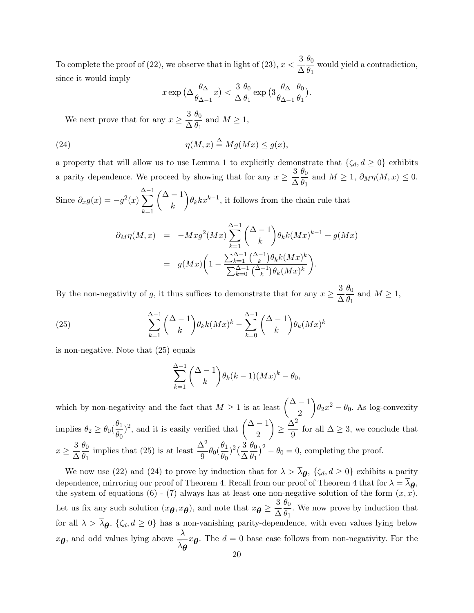To complete the proof of (22), we observe that in light of (23),  $x < \frac{3}{4}$ ∆  $\theta_0$  $\frac{\partial}{\partial q}$  would yield a contradiction, since it would imply

$$
x \exp\left(\Delta \frac{\theta_\Delta}{\theta_{\Delta-1}} x\right) < \frac{3}{\Delta} \frac{\theta_0}{\theta_1} \exp\left(3 \frac{\theta_\Delta}{\theta_{\Delta-1}} \frac{\theta_0}{\theta_1}\right).
$$

We next prove that for any  $x \geq \frac{3}{4}$ ∆ *θ*0  $\frac{\partial}{\partial q}$  and  $M \ge 1$ ,

(24) 
$$
\eta(M, x) \stackrel{\Delta}{=} Mg(Mx) \le g(x),
$$

a property that will allow us to use Lemma 1 to explicitly demonstrate that  $\{\zeta_d, d \geq 0\}$  exhibits a parity dependence. We proceed by showing that for any  $x \geq \frac{3}{4}$ ∆ *θ*0  $\frac{\partial}{\partial q}$  and  $M \geq 1$ ,  $\partial_M \eta(M, x) \leq 0$ .

Since  $\partial_x g(x) = -g^2(x)$ ∆ ∑*−*1 *k*=1 ( ∆ *−* 1 *k*  $\partial_{\theta_k} k x^{k-1}$ , it follows from the chain rule that

$$
\partial_M \eta(M, x) = -Mx g^2(Mx) \sum_{k=1}^{\Delta-1} {(\Delta - 1) \choose k} \theta_k k(Mx)^{k-1} + g(Mx)
$$
  
= 
$$
g(Mx) \left(1 - \frac{\sum_{k=1}^{\Delta-1} {(\Delta - 1) \choose k} \theta_k k(Mx)^k}{\sum_{k=0}^{\Delta-1} {(\Delta - 1) \choose k} \theta_k(Mx)^k}\right).
$$

By the non-negativity of *g*, it thus suffices to demonstrate that for any  $x \geq \frac{3}{4}$ ∆  $\theta_0$  $\frac{\partial}{\partial q}$  and  $M \ge 1$ ,

(25) 
$$
\sum_{k=1}^{\Delta-1} {\Delta-1 \choose k} \theta_k k(Mx)^k - \sum_{k=0}^{\Delta-1} {\Delta-1 \choose k} \theta_k (Mx)^k
$$

is non-negative. Note that (25) equals

$$
\sum_{k=1}^{\Delta-1} {\Delta-1 \choose k} \theta_k (k-1) (Mx)^k - \theta_0,
$$

which by non-negativity and the fact that  $M \geq 1$  is at least  $\begin{pmatrix} \Delta - 1 \\ 0 \end{pmatrix}$ 2  $\setminus$  $\theta_2 x^2 - \theta_0$ . As log-convexity implies  $\theta_2 \geq \theta_0 \left( \frac{\theta_1}{\theta_1} \right)$  $\frac{\theta_1}{\theta_0}$ <sup>2</sup>, and it is easily verified that  $\begin{pmatrix} \Delta - 1 \\ 2 \end{pmatrix}$ 2  $\setminus$  $\geq \frac{Δ^2}{2}$  $\frac{1}{9}$  for all  $\Delta \geq 3$ , we conclude that  $x \geq \frac{3}{4}$ ∆ *θ*0 *θ*1 implies that (25) is at least  $\frac{\Delta^2}{9}\theta_0(\frac{\theta_1}{\theta_0})$  $\frac{\theta_1}{\theta_0}$ <sup>2</sup> $(\frac{3}{\Delta})$ ∆ *θ*0  $\left(\frac{\theta_0}{\theta_1}\right)^2 - \theta_0 = 0$ , completing the proof.

We now use (22) and (24) to prove by induction that for  $\lambda > \lambda_{\theta}$ , { $\zeta_d, d \ge 0$ } exhibits a parity dependence, mirroring our proof of Theorem 4. Recall from our proof of Theorem 4 that for  $\lambda = \lambda_{\theta}$ , the system of equations (6) - (7) always has at least one non-negative solution of the form  $(x, x)$ . Let us fix any such solution  $(x_{\theta}, x_{\theta})$ , and note that  $x_{\theta} \geq \frac{3}{\Delta}$ ∆ *θ*0  $\frac{\partial}{\partial q}$ . We now prove by induction that for all  $\lambda > \lambda_{\theta}$ ,  $\{\zeta_d, d \geq 0\}$  has a non-vanishing parity-dependence, with even values lying below  $x_{\theta}$ , and odd values lying above  $\frac{\lambda}{\lambda}$ *λθ*  $x_{\theta}$ . The  $d = 0$  base case follows from non-negativity. For the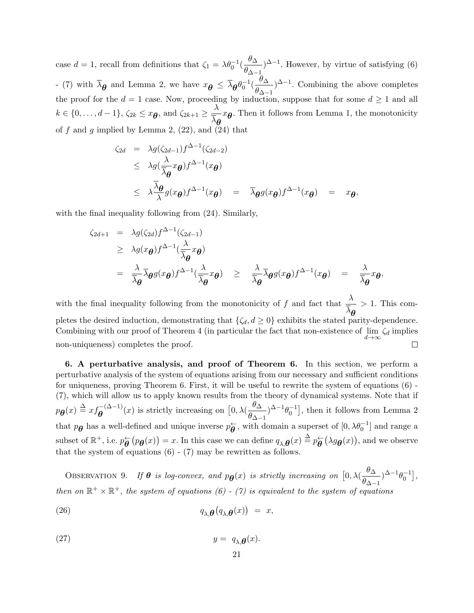case  $d = 1$ , recall from definitions that  $\zeta_1 = \lambda \theta_0^{-1} \left( \frac{\theta \Delta_0}{\theta \lambda_0} \right)$  $\frac{\partial \Delta}{\partial \Delta - 1}$  However, by virtue of satisfying (6) *−* (7) with  $\bar{\lambda}_{\theta}$  and Lemma 2, we have  $x_{\theta} \leq \bar{\lambda}_{\theta} \theta_0^{-1} (\frac{\theta_{\Delta}}{\theta_{\Delta}})$  $\frac{\partial \Delta}{\partial \Delta - 1}$  Combining the above completes the proof for the  $d = 1$  case. Now, proceeding by induction, suppose that for some  $d \ge 1$  and all  $k \in \{0, \ldots, d-1\}, \zeta_{2k} \leq x_{\boldsymbol{\theta}}, \text{ and } \zeta_{2k+1} \geq \frac{\lambda}{\overline{\lambda}}$ *λθ xθ* . Then it follows from Lemma 1, the monotonicity of  $f$  and  $g$  implied by Lemma 2,  $(22)$ , and  $(24)$  that

$$
\zeta_{2d} = \lambda g(\zeta_{2d-1}) f^{\Delta-1}(\zeta_{2d-2})
$$
\n
$$
\leq \lambda g(\frac{\lambda}{\overline{\lambda}g}x_{\theta}) f^{\Delta-1}(x_{\theta})
$$
\n
$$
\leq \lambda \frac{\overline{\lambda}g}{\lambda}g(x_{\theta}) f^{\Delta-1}(x_{\theta}) = \overline{\lambda}g(g(x_{\theta}) f^{\Delta-1}(x_{\theta}) = x_{\theta},
$$

with the final inequality following from (24). Similarly,

$$
\zeta_{2d+1} = \lambda g(\zeta_{2d}) f^{\Delta-1}(\zeta_{2d-1})
$$
  
\n
$$
\geq \lambda g(x_{\theta}) f^{\Delta-1}(\frac{\lambda}{\overline{\lambda}_{\theta}} x_{\theta})
$$
  
\n
$$
= \frac{\lambda}{\overline{\lambda}_{\theta}} \overline{\lambda}_{\theta} g(x_{\theta}) f^{\Delta-1}(\frac{\lambda}{\overline{\lambda}_{\theta}} x_{\theta}) \geq \frac{\lambda}{\overline{\lambda}_{\theta}} \overline{\lambda}_{\theta} g(x_{\theta}) f^{\Delta-1}(x_{\theta}) = \frac{\lambda}{\overline{\lambda}_{\theta}} x_{\theta},
$$

with the final inequality following from the monotonicity of *f* and fact that  $\frac{\lambda}{\tau}$ *>* 1. This com*λθ* pletes the desired induction, demonstrating that  $\{\zeta_d, d \geq 0\}$  exhibits the stated parity-dependence. Combining with our proof of Theorem 4 (in particular the fact that non-existence of  $\lim_{d\to\infty}\zeta_d$  implies non-uniqueness) completes the proof.  $\Box$ 

**6. A perturbative analysis, and proof of Theorem 6.** In this section, we perform a perturbative analysis of the system of equations arising from our necessary and sufficient conditions for uniqueness, proving Theorem 6. First, it will be useful to rewrite the system of equations (6) - (7), which will allow us to apply known results from the theory of dynamical systems. Note that if  $p_{\theta}(x) \triangleq xf_{\theta}^{-(\Delta-1)}(x)$  is strictly increasing on  $[0, \lambda(\frac{\theta_{\Delta}}{\theta_{\Delta-1}})]$  $\left(\frac{\theta\Delta}{\theta\Delta-1}\right)^{\Delta-1}\theta_0^{-1}$ , then it follows from Lemma 2 that  $p_{\theta}$  has a well-defined and unique inverse  $p_{\theta}^{\leftarrow}$ , with domain a superset of  $[0, \lambda \theta_0^{-1}]$  and range a subset of  $\mathbb{R}^+$ , i.e.  $p_{\theta}^{\leftarrow}(p_{\theta}(x)) = x$ . In this case we can define  $q_{\lambda,\theta}(x) \stackrel{\Delta}{=} p_{\theta}^{\leftarrow}(\lambda g_{\theta}(x))$ , and we observe that the system of equations  $(6)$  -  $(7)$  may be rewritten as follows.

OBSERVATION 9. *If*  $\theta$  *is log-convex, and*  $p_{\theta}(x)$  *is strictly increasing on*  $[0, \lambda(\frac{\theta_{\Delta}}{\theta_{\Delta}})]$  $\frac{\partial \Delta}{\partial \Delta - 1}$ <sup>2</sup> $\left[ -1 \theta_0^{-1} \right]$ , then on  $\mathbb{R}^+ \times \mathbb{R}^+$ , the system of equations (6) - (7) is equivalent to the system of equations

(26) 
$$
q_{\lambda,\boldsymbol{\theta}}(q_{\lambda,\boldsymbol{\theta}}(x)) = x,
$$

$$
(27) \t\t y = q_{\lambda,\boldsymbol{\theta}}(x).
$$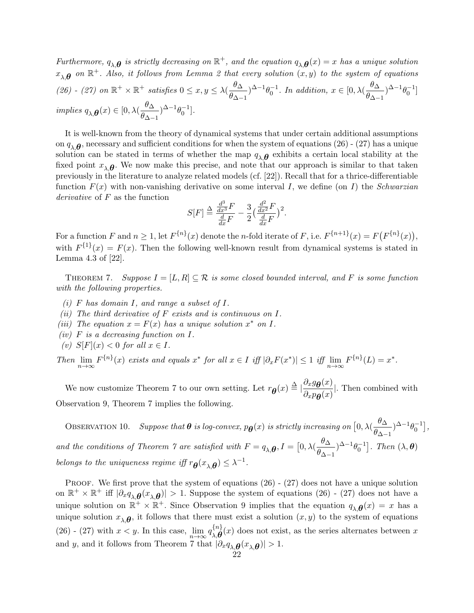$Furthermore, q_{\lambda,\theta}$  is strictly decreasing on  $\mathbb{R}^+$ , and the equation  $q_{\lambda,\theta}(x) = x$  has a unique solution  $x_{\lambda,\boldsymbol{\theta}}$  on  $\mathbb{R}^+$ *. Also, it follows from Lemma 2 that every solution*  $(x,y)$  *to the system of equations (26)* - (27) on ℝ<sup>+</sup> × ℝ<sup>+</sup> *satisfies* 0 ≤ *x*, *y* ≤  $λ($  $\frac{θ_Δ}{θ_1})$  $\frac{\theta_{\Delta}}{\theta_{\Delta-1}}$ <sup>2</sup><sup>−1</sup> $\theta_0^{-1}$ . In addition,  $x \in [0, \lambda(\frac{\theta_{\Delta}}{\theta_{\Delta-1}})]$  $\frac{\theta_{\Delta-1}}{\theta_{\Delta-1}}$ <sup>2-1</sup> $\theta_0^{-1}$ ] *implies*  $q_{\lambda,\theta}(x) \in [0, \lambda(\frac{\theta_{\Delta}}{\theta_{\lambda}}))$  $\frac{\theta_{\Delta-1}}{\theta_{\Delta-1}}$ <sup>2-1</sup> $\theta_0^{-1}$ .

It is well-known from the theory of dynamical systems that under certain additional assumptions on  $q_{\lambda,\theta}$ , necessary and sufficient conditions for when the system of equations (26) - (27) has a unique solution can be stated in terms of whether the map  $q_{\lambda,\boldsymbol{\theta}}$  exhibits a certain local stability at the fixed point  $x_{\lambda,\theta}$ . We now make this precise, and note that our approach is similar to that taken previously in the literature to analyze related models (cf. [22]). Recall that for a thrice-differentiable function *F*(*x*) with non-vanishing derivative on some interval *I*, we define (on *I*) the *Schwarzian derivative* of *F* as the function

$$
S[F] \stackrel{\Delta}{=} \frac{\frac{d^3}{dx^3}F}{\frac{d}{dx}F} - \frac{3}{2} \left(\frac{\frac{d^2}{dx^2}F}{\frac{d}{dx}F}\right)^2.
$$

For a function F and  $n \geq 1$ , let  $F^{\{n\}}(x)$  denote the *n*-fold iterate of F, i.e.  $F^{\{n+1\}}(x) = F(F^{\{n\}}(x)),$ with  $F^{1}(x) = F(x)$ . Then the following well-known result from dynamical systems is stated in Lemma 4.3 of [22].

THEOREM 7. *Suppose*  $I = [L, R] \subseteq \mathcal{R}$  *is some closed bounded interval, and* F *is some function with the following properties.*

- *(i) F has domain I, and range a subset of I.*
- *(ii) The third derivative of F exists and is continuous on I.*
- *(iii) The equation*  $x = F(x)$  *has a unique solution*  $x^*$  *on I.*
- *(iv) F is a decreasing function on I.*
- $f(v)$  *S*[*F*] $(x)$  *< 0 for all*  $x \in I$ *.*

Then  $\lim_{n\to\infty} F^{\{n\}}(x)$  exists and equals  $x^*$  for all  $x \in I$  iff  $|\partial_x F(x^*)| \leq 1$  iff  $\lim_{n\to\infty} F^{\{n\}}(L) = x^*$ .

We now customize Theorem 7 to our own setting. Let  $r_{\theta}(x) \triangleq \left| \frac{\partial_x g_{\theta}(x)}{\partial_x p_{\theta}(x)} \right|$  $\frac{\partial x}{\partial x}$ *e* $\theta$ (*x*)</sub>. Then combined with Observation 9, Theorem 7 implies the following.

OBSERVATION 10. *Suppose that*  $\theta$  *is log-convex,*  $p_{\theta}(x)$  *is strictly increasing on*  $[0, \lambda(\frac{\theta_{\Delta}}{\theta_{\Delta}})]$  $\frac{\sigma_{\Delta}}{\theta_{\Delta-1}}$ <sup>2-1</sup> $\theta_0^{-1}$ ], *and the conditions of Theorem 7 are satisfied with*  $F = q_{\lambda,\theta}$ ,  $I = [0, \lambda(\frac{\theta_{\Delta}}{\theta_{\lambda}})]$  $\left[\frac{\theta\Delta}{\theta\Delta-1}\right]^{\Delta-1}\theta_0^{-1}$ . Then  $(\lambda,\theta)$ *belongs to the uniqueness regime iff*  $r_{\theta}(x_{\lambda,\theta}) \leq \lambda^{-1}$ .

PROOF. We first prove that the system of equations  $(26)$  -  $(27)$  does not have a unique solution on  $\mathbb{R}^+ \times \mathbb{R}^+$  iff  $|\partial_x q_{\lambda,\theta}(x_{\lambda,\theta})| > 1$ . Suppose the system of equations (26) - (27) does not have a unique solution on  $\mathbb{R}^+ \times \mathbb{R}^+$ . Since Observation 9 implies that the equation  $q_{\lambda,\theta}(x) = x$  has a unique solution  $x_{\lambda,\theta}$ , it follows that there must exist a solution  $(x, y)$  to the system of equations (26) - (27) with  $x < y$ . In this case,  $\lim_{n \to \infty} q_{\lambda,\theta}^{\{n\}}$  $\lambda, \theta(x)$  does not exist, as the series alternates between *x* and *y*, and it follows from Theorem 7 that  $|\partial_x q_{\lambda,\theta}(x_{\lambda,\theta})| > 1$ .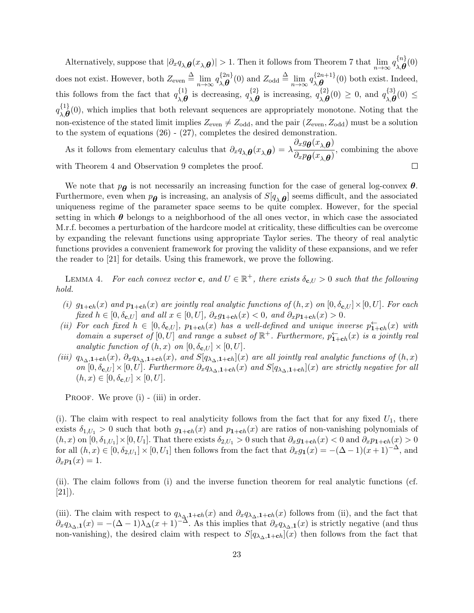$\lambda$  Alternatively, suppose that  $|\partial_x q_{\lambda,\theta}(x_{\lambda,\theta})| > 1$ . Then it follows from Theorem 7 that  $\lim_{n \to \infty} q_{\lambda,\theta}^{\{n\}}$ *λ,θ* (0) does not exist. However, both  $Z_{\text{even}} \stackrel{\Delta}{=} \lim_{n \to \infty} q_{\lambda,\boldsymbol{\theta}}^{\{2n\}}$  $\lim_{\lambda,\theta} \{2n\}(0)$  and  $Z_{\text{odd}} \triangleq \lim_{n \to \infty} q_{\lambda,\theta}^{\{2n+1\}}$  $\lambda, \theta$ (0) both exist. Indeed, this follows from the fact that  $q_{\mathcal{A}}^{\{1\}}$  $\lambda, \theta$  is decreasing,  $q_{\lambda, \theta}^{\{2\}}$  $\lambda$ , *θ* is increasing,  $q_{\lambda,\theta}^{\{2\}}$  $\mathcal{A}_{\lambda,\theta}^{\{2\}}(0) \geq 0$ , and  $q_{\lambda,\theta}^{\{3\}}$  $\lambda$ , *θ*<sup>(0)</sup>  $\leq$  $q \, \begin{matrix} 1 \\ \mathbf{0} \end{matrix}$  $\lambda, \mathbf{\theta}$ <sup>(1}</sup>), which implies that both relevant sequences are appropriately monotone. Noting that the non-existence of the stated limit implies  $Z_{\text{even}} \neq Z_{\text{odd}}$ , and the pair  $(Z_{\text{even}}, Z_{\text{odd}})$  must be a solution to the system of equations (26) - (27), completes the desired demonstration.

As it follows from elementary calculus that  $\partial_x q_{\lambda,\theta}(x_{\lambda,\theta}) = \lambda \frac{\partial_x g_{\theta}(x_{\lambda,\theta})}{\partial_x g_{\theta}(x_{\lambda,\theta})}$  $\frac{d^2b}{dx^2}$  $\frac{\partial}{\partial x^2}$ , combining the above with Theorem 4 and Observation 9 completes the proof.  $\Box$ 

We note that  $p_{\theta}$  is not necessarily an increasing function for the case of general log-convex  $\theta$ . Furthermore, even when  $p_{\theta}$  is increasing, an analysis of  $S[q_{\lambda,\theta}]$  seems difficult, and the associated uniqueness regime of the parameter space seems to be quite complex. However, for the special setting in which  $\theta$  belongs to a neighborhood of the all ones vector, in which case the associated M.r.f. becomes a perturbation of the hardcore model at criticality, these difficulties can be overcome by expanding the relevant functions using appropriate Taylor series. The theory of real analytic functions provides a convenient framework for proving the validity of these expansions, and we refer the reader to [21] for details. Using this framework, we prove the following.

LEMMA 4. For each convex vector **c**, and  $U \in \mathbb{R}^+$ , there exists  $\delta_{\mathbf{c},U} > 0$  such that the following *hold.*

- (i)  $g_{1+ch}(x)$  and  $p_{1+ch}(x)$  are jointly real analytic functions of  $(h, x)$  on  $[0, \delta_{c,U}] \times [0, U]$ . For each fixed  $h \in [0, \delta_{\mathbf{c},U}]$  and all  $x \in [0, U]$ ,  $\partial_x g_{\mathbf{1}+\mathbf{c}h}(x) < 0$ , and  $\partial_x p_{\mathbf{1}+\mathbf{c}h}(x) > 0$ .
- (ii) For each fixed  $h \in [0, \delta_{\mathbf{c},U}]$ ,  $p_{1+\mathbf{c}h}(x)$  has a well-defined and unique inverse  $p_{1+\mathbf{c}h}^{\leftarrow}(x)$  with *domain a superset of*  $[0, U]$  *and range a subset of*  $\mathbb{R}^+$ *. Furthermore,*  $p_{1+ch}^{\leftarrow}(x)$  *is a jointly real analytic function of*  $(h, x)$  *on*  $[0, \delta_{\mathbf{c},U}] \times [0, U]$ *.*
- (iii)  $q_{\lambda_{\Delta},1}$ +ch(x),  $\partial_x q_{\lambda_{\Delta},1}$ +ch(x), and  $S[q_{\lambda_{\Delta},1}$ +ch](x) are all jointly real analytic functions of  $(h, x)$ on  $[0, \delta_{\mathbf{c},U}] \times [0, U]$ . Furthermore  $\partial_x q_{\lambda_{\Delta},\mathbf{1}+\mathbf{c}h}(x)$  and  $S[q_{\lambda_{\Delta},\mathbf{1}+\mathbf{c}h}](x)$  are strictly negative for all  $(h, x) \in [0, \delta_{\mathbf{c},U}] \times [0, U].$

PROOF. We prove (i) - (iii) in order.

(i). The claim with respect to real analyticity follows from the fact that for any fixed  $U_1$ , there exists  $\delta_{1,U_1} > 0$  such that both  $g_{1+\text{ch}}(x)$  and  $p_{1+\text{ch}}(x)$  are ratios of non-vanishing polynomials of  $(h, x)$  on  $[0, \delta_{1,U_1}] \times [0, U_1]$ . That there exists  $\delta_{2,U_1} > 0$  such that  $\partial_x g_{1+ch}(x) < 0$  and  $\partial_x p_{1+ch}(x) > 0$ for all  $(h, x) \in [0, \delta_{2,U_1}] \times [0, U_1]$  then follows from the fact that  $\partial_x g_1(x) = -(\Delta - 1)(x+1)^{-\Delta}$ , and  $\partial_x p_1(x) = 1.$ 

(ii). The claim follows from (i) and the inverse function theorem for real analytic functions (cf. [21]).

(iii). The claim with respect to  $q_{\lambda_2,1+\text{ch}}(x)$  and  $\partial_x q_{\lambda_2,1+\text{ch}}(x)$  follows from (ii), and the fact that  $\partial_x q_{\lambda_{\Delta},1}(x) = -(\Delta - 1)\lambda_{\Delta}(x+1)^{-\Delta}$ . As this implies that  $\partial_x q_{\lambda_{\Delta},1}(x)$  is strictly negative (and thus non-vanishing), the desired claim with respect to  $S[q_{\lambda_{\Delta},1}+\mathbf{c}_h](x)$  then follows from the fact that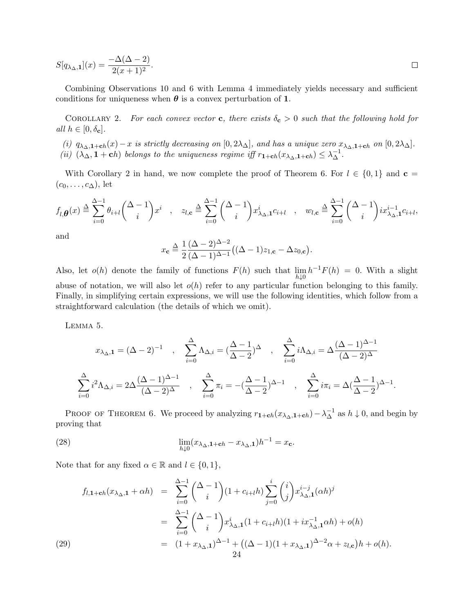$$
S[q_{\lambda_{\Delta},1}](x) = \frac{-\Delta(\Delta - 2)}{2(x+1)^2}.
$$

Combining Observations 10 and 6 with Lemma 4 immediately yields necessary and sufficient conditions for uniqueness when  $\theta$  is a convex perturbation of 1.

COROLLARY 2. For each convex vector **c**, there exists  $\delta_c > 0$  such that the following hold for  $all h \in [0, \delta_{\mathbf{c}}].$ 

(i)  $q_{\lambda_{\Delta},1+\mathbf{c}h}(x) - x$  is strictly decreasing on  $[0,2\lambda_{\Delta}]$ , and has a unique zero  $x_{\lambda_{\Delta},1+\mathbf{c}h}$  on  $[0,2\lambda_{\Delta}]$ . (ii)  $(\lambda_{\Delta}, \mathbf{1} + \mathbf{c}h)$  belongs to the uniqueness regime iff  $r_{\mathbf{1}+\mathbf{c}h}(x_{\lambda_{\Delta},\mathbf{1}+\mathbf{c}h}) \leq \lambda_{\Delta}^{-1}$ .

With Corollary 2 in hand, we now complete the proof of Theorem 6. For  $l \in \{0,1\}$  and  $c =$  $(c_0, \ldots, c_{\Delta})$ , let

$$
f_{l,\theta}(x) \stackrel{\Delta}{=} \sum_{i=0}^{\Delta-1} \theta_{i+l} \binom{\Delta-1}{i} x^i \quad , \quad z_{l,\mathbf{c}} \stackrel{\Delta}{=} \sum_{i=0}^{\Delta-1} \binom{\Delta-1}{i} x_{\lambda_{\Delta},\mathbf{1}}^i c_{i+l} \quad , \quad w_{l,\mathbf{c}} \stackrel{\Delta}{=} \sum_{i=0}^{\Delta-1} \binom{\Delta-1}{i} i x_{\lambda_{\Delta},\mathbf{1}}^{i-1} c_{i+l},
$$

and

$$
x_{\mathbf{c}} \stackrel{\Delta}{=} \frac{1}{2} \frac{(\Delta - 2)^{\Delta - 2}}{(\Delta - 1)^{\Delta - 1}} \big( (\Delta - 1) z_{1, \mathbf{c}} - \Delta z_{0, \mathbf{c}} \big).
$$

Also, let  $o(h)$  denote the family of functions  $F(h)$  such that  $\lim_{h\downarrow 0} h^{-1}F(h) = 0$ . With a slight abuse of notation, we will also let  $o(h)$  refer to any particular function belonging to this family. Finally, in simplifying certain expressions, we will use the following identities, which follow from a straightforward calculation (the details of which we omit).

Lemma 5.

$$
x_{\lambda_{\Delta},1} = (\Delta - 2)^{-1} , \quad \sum_{i=0}^{\Delta} \Lambda_{\Delta,i} = \left(\frac{\Delta - 1}{\Delta - 2}\right)^{\Delta} , \quad \sum_{i=0}^{\Delta} i \Lambda_{\Delta,i} = \Delta \frac{(\Delta - 1)^{\Delta - 1}}{(\Delta - 2)^{\Delta}}
$$

$$
\sum_{i=0}^{\Delta} i^2 \Lambda_{\Delta,i} = 2\Delta \frac{(\Delta - 1)^{\Delta - 1}}{(\Delta - 2)^{\Delta}} , \quad \sum_{i=0}^{\Delta} \pi_i = -\left(\frac{\Delta - 1}{\Delta - 2}\right)^{\Delta - 1} , \quad \sum_{i=0}^{\Delta} i \pi_i = \Delta \left(\frac{\Delta - 1}{\Delta - 2}\right)^{\Delta - 1}.
$$

PROOF OF THEOREM 6. We proceed by analyzing  $r_{1+\mathbf{c}h}(x_{\lambda_0,1+\mathbf{c}h}) - \lambda_{\Delta}^{-1}$  as  $h \downarrow 0$ , and begin by proving that

(28) 
$$
\lim_{h \downarrow 0} (x_{\lambda_{\Delta}, \mathbf{1} + \mathbf{c}h} - x_{\lambda_{\Delta}, \mathbf{1}})h^{-1} = x_{\mathbf{c}}.
$$

Note that for any fixed  $\alpha \in \mathbb{R}$  and  $l \in \{0, 1\}$ ,

(29)  
\n
$$
f_{l,1+ch}(x_{\lambda_{\Delta},1} + \alpha h) = \sum_{i=0}^{\Delta-1} {\Delta-1 \choose i} (1 + c_{i+l}h) \sum_{j=0}^i {i \choose j} x_{\lambda_{\Delta},1}^{i-j} (\alpha h)^j
$$
\n
$$
= \sum_{i=0}^{\Delta-1} {\Delta-1 \choose i} x_{\lambda_{\Delta},1}^i (1 + c_{i+l}h) (1 + ix_{\lambda_{\Delta},1}^{-1} \alpha h) + o(h)
$$
\n
$$
= (1 + x_{\lambda_{\Delta},1})^{\Delta-1} + ((\Delta - 1)(1 + x_{\lambda_{\Delta},1})^{\Delta-2} \alpha + z_{l,c}) h + o(h).
$$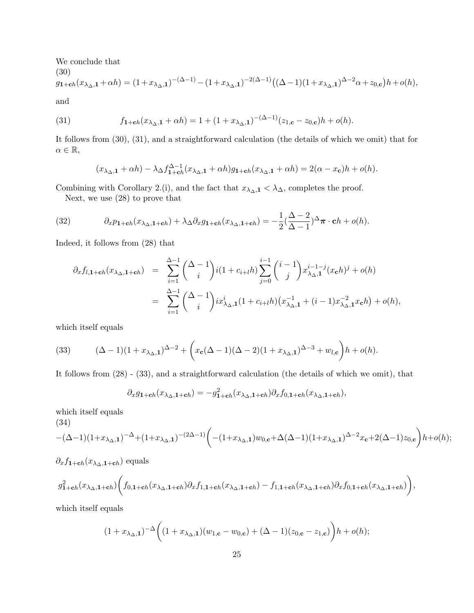We conclude that (30)  $g_{\textbf{1}+\textbf{c}h}(x_{\lambda_0,1}+\alpha h)=(1+x_{\lambda_0,1})^{-(\Delta-1)}-(1+x_{\lambda_0,1})^{-2(\Delta-1)}((\Delta-1)(1+x_{\lambda_0,1})^{\Delta-2}\alpha+z_{0,\textbf{c}})h+o(h),$ and

(31) 
$$
f_{1+ch}(x_{\lambda_{\Delta},1} + \alpha h) = 1 + (1 + x_{\lambda_{\Delta},1})^{-(\Delta - 1)}(z_{1,c} - z_{0,c})h + o(h).
$$

It follows from (30), (31), and a straightforward calculation (the details of which we omit) that for  $\alpha \in \mathbb{R}$ ,

$$
(x_{\lambda_{\Delta},\mathbf{1}} + \alpha h) - \lambda_{\Delta} f_{\mathbf{1} + \mathbf{c}h}^{\Delta - 1} (x_{\lambda_{\Delta},\mathbf{1}} + \alpha h) g_{\mathbf{1} + \mathbf{c}h} (x_{\lambda_{\Delta},\mathbf{1}} + \alpha h) = 2(\alpha - x_{\mathbf{c}})h + o(h).
$$

Combining with Corollary 2.(i), and the fact that  $x_{\lambda_{\Delta},\mathbf{1}} < \lambda_{\Delta}$ , completes the proof.

Next, we use (28) to prove that

(32) 
$$
\partial_x p_{1+ch}(x_{\lambda_\Delta,1+ch}) + \lambda_\Delta \partial_x g_{1+ch}(x_{\lambda_\Delta,1+ch}) = -\frac{1}{2}(\frac{\Delta-2}{\Delta-1})^{\Delta} \pi \cdot ch + o(h).
$$

Indeed, it follows from (28) that

$$
\partial_x f_{l,1+ch}(x_{\lambda_{\Delta},1+ch}) = \sum_{i=1}^{\Delta-1} {\Delta-1 \choose i} i(1+c_{i+1}h) \sum_{j=0}^{i-1} {i-1 \choose j} x_{\lambda_{\Delta},1}^{i-1-j}(x_ch)^j + o(h)
$$
  

$$
= \sum_{i=1}^{\Delta-1} {\Delta-1 \choose i} i x_{\lambda_{\Delta},1}^i (1+c_{i+1}h) (x_{\lambda_{\Delta},1}^{-1} + (i-1)x_{\lambda_{\Delta},1}^{-2}x_ch) + o(h),
$$

which itself equals

(33) 
$$
(\Delta - 1)(1 + x_{\lambda_{\Delta},1})^{\Delta - 2} + \left(x_c(\Delta - 1)(\Delta - 2)(1 + x_{\lambda_{\Delta},1})^{\Delta - 3} + w_{l,c}\right)h + o(h).
$$

It follows from (28) - (33), and a straightforward calculation (the details of which we omit), that

$$
\partial_x g_{1+ch}(x_{\lambda_\Delta,1+ch}) = -g_{1+ch}^2(x_{\lambda_\Delta,1+ch})\partial_x f_{0,1+ch}(x_{\lambda_\Delta,1+ch}),
$$

which itself equals (34)

$$
-(\Delta-1)(1+x_{\lambda_{\Delta},1})^{-\Delta}+(1+x_{\lambda_{\Delta},1})^{-(2\Delta-1)}\bigg(-(1+x_{\lambda_{\Delta},1})w_{0,\mathbf{c}}+\Delta(\Delta-1)(1+x_{\lambda_{\Delta},1})^{\Delta-2}x_{\mathbf{c}}+2(\Delta-1)z_{0,\mathbf{c}}\bigg)h+o(h);
$$

$$
\partial_x f_{1+ch}(x_{\lambda_0,1+ch})
$$
 equals

$$
g_{1+ch}^2(x_{\lambda_\Delta,1+ch})\bigg(f_{0,1+ch}(x_{\lambda_\Delta,1+ch})\partial_x f_{1,1+ch}(x_{\lambda_\Delta,1+ch})-f_{1,1+ch}(x_{\lambda_\Delta,1+ch})\partial_x f_{0,1+ch}(x_{\lambda_\Delta,1+ch})\bigg),
$$

which itself equals

$$
(1 + x_{\lambda_{\Delta},1})^{-\Delta} \bigg( (1 + x_{\lambda_{\Delta},1}) (w_{1,\mathbf{c}} - w_{0,\mathbf{c}}) + (\Delta - 1)(z_{0,\mathbf{c}} - z_{1,\mathbf{c}}) \bigg) h + o(h);
$$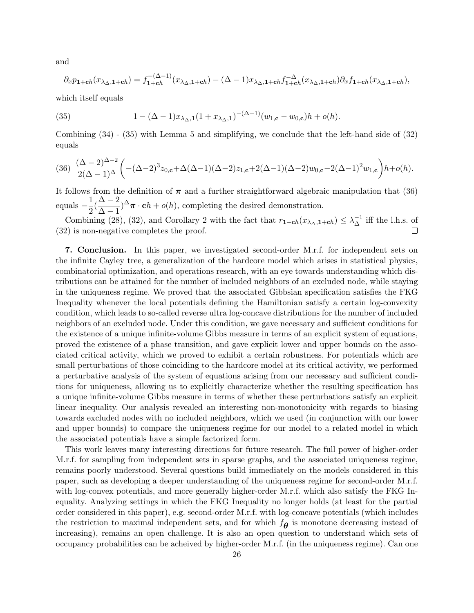and

$$
\partial_x p_{1+ch}(x_{\lambda_\Delta,1+ch}) = f_{1+ch}^{-(\Delta-1)}(x_{\lambda_\Delta,1+ch}) - (\Delta-1)x_{\lambda_\Delta,1+ch} f_{1+ch}^{-\Delta}(x_{\lambda_\Delta,1+ch})\partial_x f_{1+ch}(x_{\lambda_\Delta,1+ch}),
$$

which itself equals

(35) 
$$
1 - (\Delta - 1)x_{\lambda_{\Delta},1}(1 + x_{\lambda_{\Delta},1})^{-(\Delta - 1)}(w_{1,\mathbf{c}} - w_{0,\mathbf{c}})h + o(h).
$$

Combining (34) - (35) with Lemma 5 and simplifying, we conclude that the left-hand side of (32) equals

$$
(36)\ \ \frac{(\Delta-2)^{\Delta-2}}{2(\Delta-1)^\Delta}\bigg(-(\Delta-2)^3z_{0,\mathbf{c}}+\Delta(\Delta-1)(\Delta-2)z_{1,\mathbf{c}}+2(\Delta-1)(\Delta-2)w_{0,\mathbf{c}}-2(\Delta-1)^2w_{1,\mathbf{c}}\bigg)h+o(h).
$$

It follows from the definition of  $\pi$  and a further straightforward algebraic manipulation that (36) equals  $-\frac{1}{2}$  $\frac{1}{2}(\frac{\Delta-2}{\Delta-1}$  $\frac{\Delta - 2}{\Delta - 1}$ <sup> $\Delta$ </sup> $\pi \cdot \mathbf{c}h + o(h)$ , completing the desired demonstration.

Combining (28), (32), and Corollary 2 with the fact that  $r_{1+ch}(x_{\lambda_0,1+ch}) \leq \lambda_{\Delta}^{-1}$  iff the l.h.s. of (32) is non-negative completes the proof.

**7. Conclusion.** In this paper, we investigated second-order M.r.f. for independent sets on the infinite Cayley tree, a generalization of the hardcore model which arises in statistical physics, combinatorial optimization, and operations research, with an eye towards understanding which distributions can be attained for the number of included neighbors of an excluded node, while staying in the uniqueness regime. We proved that the associated Gibbsian specification satisfies the FKG Inequality whenever the local potentials defining the Hamiltonian satisfy a certain log-convexity condition, which leads to so-called reverse ultra log-concave distributions for the number of included neighbors of an excluded node. Under this condition, we gave necessary and sufficient conditions for the existence of a unique infinite-volume Gibbs measure in terms of an explicit system of equations, proved the existence of a phase transition, and gave explicit lower and upper bounds on the associated critical activity, which we proved to exhibit a certain robustness. For potentials which are small perturbations of those coinciding to the hardcore model at its critical activity, we performed a perturbative analysis of the system of equations arising from our necessary and sufficient conditions for uniqueness, allowing us to explicitly characterize whether the resulting specification has a unique infinite-volume Gibbs measure in terms of whether these perturbations satisfy an explicit linear inequality. Our analysis revealed an interesting non-monotonicity with regards to biasing towards excluded nodes with no included neighbors, which we used (in conjunction with our lower and upper bounds) to compare the uniqueness regime for our model to a related model in which the associated potentials have a simple factorized form.

This work leaves many interesting directions for future research. The full power of higher-order M.r.f. for sampling from independent sets in sparse graphs, and the associated uniqueness regime, remains poorly understood. Several questions build immediately on the models considered in this paper, such as developing a deeper understanding of the uniqueness regime for second-order M.r.f. with log-convex potentials, and more generally higher-order M.r.f. which also satisfy the FKG Inequality. Analyzing settings in which the FKG Inequality no longer holds (at least for the partial order considered in this paper), e.g. second-order M.r.f. with log-concave potentials (which includes the restriction to maximal independent sets, and for which *fθ* is monotone decreasing instead of increasing), remains an open challenge. It is also an open question to understand which sets of occupancy probabilities can be acheived by higher-order M.r.f. (in the uniqueness regime). Can one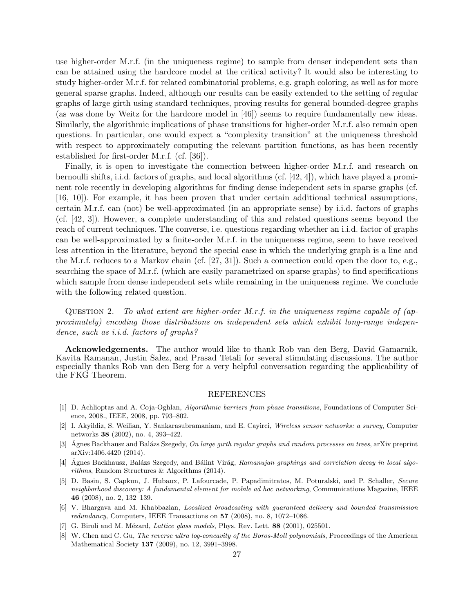use higher-order M.r.f. (in the uniqueness regime) to sample from denser independent sets than can be attained using the hardcore model at the critical activity? It would also be interesting to study higher-order M.r.f. for related combinatorial problems, e.g. graph coloring, as well as for more general sparse graphs. Indeed, although our results can be easily extended to the setting of regular graphs of large girth using standard techniques, proving results for general bounded-degree graphs (as was done by Weitz for the hardcore model in [46]) seems to require fundamentally new ideas. Similarly, the algorithmic implications of phase transitions for higher-order M.r.f. also remain open questions. In particular, one would expect a "complexity transition" at the uniqueness threshold with respect to approximately computing the relevant partition functions, as has been recently established for first-order M.r.f. (cf. [36]).

Finally, it is open to investigate the connection between higher-order M.r.f. and research on bernoulli shifts, i.i.d. factors of graphs, and local algorithms (cf. [42, 4]), which have played a prominent role recently in developing algorithms for finding dense independent sets in sparse graphs (cf. [16, 10]). For example, it has been proven that under certain additional technical assumptions, certain M.r.f. can (not) be well-approximated (in an appropriate sense) by i.i.d. factors of graphs (cf. [42, 3]). However, a complete understanding of this and related questions seems beyond the reach of current techniques. The converse, i.e. questions regarding whether an i.i.d. factor of graphs can be well-approximated by a finite-order M.r.f. in the uniqueness regime, seem to have received less attention in the literature, beyond the special case in which the underlying graph is a line and the M.r.f. reduces to a Markov chain (cf. [27, 31]). Such a connection could open the door to, e.g., searching the space of M.r.f. (which are easily parametrized on sparse graphs) to find specifications which sample from dense independent sets while remaining in the uniqueness regime. We conclude with the following related question.

Question 2. *To what extent are higher-order M.r.f. in the uniqueness regime capable of (approximately) encoding those distributions on independent sets which exhibit long-range independence, such as i.i.d. factors of graphs?*

**Acknowledgements.** The author would like to thank Rob van den Berg, David Gamarnik, Kavita Ramanan, Justin Salez, and Prasad Tetali for several stimulating discussions. The author especially thanks Rob van den Berg for a very helpful conversation regarding the applicability of the FKG Theorem.

#### REFERENCES

- [1] D. Achlioptas and A. Coja-Oghlan, *Algorithmic barriers from phase transitions*, Foundations of Computer Science, 2008., IEEE, 2008, pp. 793–802.
- [2] I. Akyildiz, S. Weilian, Y. Sankarasubramaniam, and E. Cayirci, *Wireless sensor networks: a survey*, Computer networks **38** (2002), no. 4, 393–422.
- [3] Agnes Backhausz and Balázs Szegedy, On large girth regular graphs and random processes on trees, arXiv preprint arXiv:1406.4420 (2014).
- [4] Agnes Backhausz, Balázs Szegedy, and Bálint Virág, *Ramanujan graphings and correlation decay in local algorithms*, Random Structures & Algorithms (2014).
- [5] D. Basin, S. Capkun, J. Hubaux, P. Lafourcade, P. Papadimitratos, M. Poturalski, and P. Schaller, *Secure neighborhood discovery: A fundamental element for mobile ad hoc networking*, Communications Magazine, IEEE **46** (2008), no. 2, 132–139.
- [6] V. Bhargava and M. Khabbazian, *Localized broadcasting with guaranteed delivery and bounded transmission redundancy*, Computers, IEEE Transactions on **57** (2008), no. 8, 1072–1086.
- [7] G. Biroli and M. Mézard, *Lattice glass models*, Phys. Rev. Lett. **88** (2001), 025501.
- [8] W. Chen and C. Gu, *The reverse ultra log-concavity of the Boros-Moll polynomials*, Proceedings of the American Mathematical Society **137** (2009), no. 12, 3991–3998.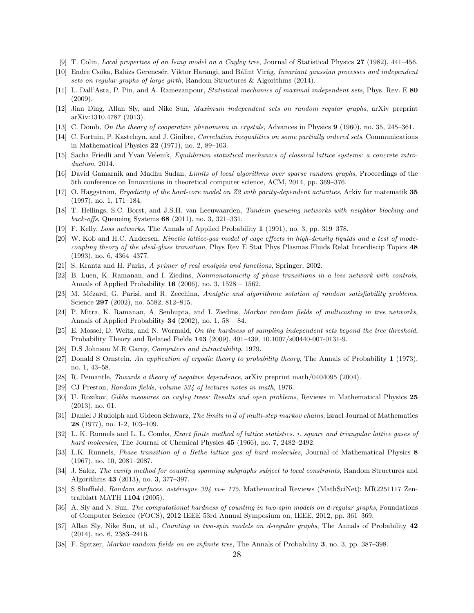- [9] T. Colin, *Local properties of an Ising model on a Cayley tree*, Journal of Statistical Physics **27** (1982), 441–456.
- [10] Endre Csóka, Balázs Gerencsér, Viktor Harangi, and Bálint Virág, *Invariant gaussian processes and independent sets on regular graphs of large girth*, Random Structures & Algorithms (2014).
- [11] L. Dall'Asta, P. Pin, and A. Ramezanpour, *Statistical mechanics of maximal independent sets*, Phys. Rev. E **80** (2009).
- [12] Jian Ding, Allan Sly, and Nike Sun, *Maximum independent sets on random regular graphs*, arXiv preprint arXiv:1310.4787 (2013).
- [13] C. Domb, *On the theory of cooperative phenomena in crystals*, Advances in Physics **9** (1960), no. 35, 245–361.
- [14] C. Fortuin, P. Kasteleyn, and J. Ginibre, *Correlation inequalities on some partially ordered sets*, Communications in Mathematical Physics **22** (1971), no. 2, 89–103.
- [15] Sacha Friedli and Yvan Velenik, *Equilibrium statistical mechanics of classical lattice systems: a concrete introduction*, 2014.
- [16] David Gamarnik and Madhu Sudan, *Limits of local algorithms over sparse random graphs*, Proceedings of the 5th conference on Innovations in theoretical computer science, ACM, 2014, pp. 369–376.
- [17] O. Haggstrom, *Ergodicity of the hard-core model on Z2 with parity-dependent activities*, Arkiv for matematik **35** (1997), no. 1, 171–184.
- [18] T. Hellings, S.C. Borst, and J.S.H. van Leeuwaarden, *Tandem queueing networks with neighbor blocking and back-offs*, Queueing Systems **68** (2011), no. 3, 321–331.
- [19] F. Kelly, *Loss networks*, The Annals of Applied Probability **1** (1991), no. 3, pp. 319–378.
- [20] W. Kob and H.C. Andersen, *Kinetic lattice-gas model of cage effects in high-density liquids and a test of modecoupling theory of the ideal-glass transition*, Phys Rev E Stat Phys Plasmas Fluids Relat Interdiscip Topics **48** (1993), no. 6, 4364–4377.
- [21] S. Krantz and H. Parks, *A primer of real analysis and functions*, Springer, 2002.
- [22] B. Luen, K. Ramanan, and I. Ziedins, *Nonmonotonicity of phase transitions in a loss network with controls*, Annals of Applied Probability **16** (2006), no. 3, 1528 – 1562.
- [23] M. Mézard, G. Parisi, and R. Zecchina, *Analytic and algorithmic solution of random satisfiability problems*, Science **297** (2002), no. 5582, 812–815.
- [24] P. Mitra, K. Ramanan, A. Senhupta, and I. Ziedins, *Markov random fields of multicasting in tree networks*, Annals of Applied Probability **34** (2002), no. 1, 58 – 84.
- [25] E. Mossel, D. Weitz, and N. Wormald, *On the hardness of sampling independent sets beyond the tree threshold*, Probability Theory and Related Fields **143** (2009), 401–439, 10.1007/s00440-007-0131-9.
- [26] D.S Johnson M.R Garey, *Computers and intractability*, 1979.
- [27] Donald S Ornstein, *An application of ergodic theory to probability theory*, The Annals of Probability **1** (1973), no. 1, 43–58.
- [28] R. Pemantle, *Towards a theory of negative dependence*, arXiv preprint math/0404095 (2004).
- [29] CJ Preston, *Random fields, volume 534 of lectures notes in math*, 1976.
- [30] U. Rozikov, *Gibbs measures on cayley trees: Results and open problems*, Reviews in Mathematical Physics **25** (2013), no. 01.
- [31] Daniel J Rudolph and Gideon Schwarz, *The limits in d of multi-step markov chains*, Israel Journal of Mathematics **28** (1977), no. 1-2, 103–109.
- [32] L. K. Runnels and L. L. Combs, *Exact finite method of lattice statistics. i. square and triangular lattice gases of hard molecules*, The Journal of Chemical Physics **45** (1966), no. 7, 2482–2492.
- [33] L.K. Runnels, *Phase transition of a Bethe lattice gas of hard molecules*, Journal of Mathematical Physics **8** (1967), no. 10, 2081–2087.
- [34] J. Salez, *The cavity method for counting spanning subgraphs subject to local constraints*, Random Structures and Algorithms **43** (2013), no. 3, 377–397.
- [35] S Sheffield, *Random surfaces. astérisque 304 vi+ 175*, Mathematical Reviews (MathSciNet): MR2251117 Zentralblatt MATH **1104** (2005).
- [36] A. Sly and N. Sun, *The computational hardness of counting in two-spin models on d-regular graphs*, Foundations of Computer Science (FOCS), 2012 IEEE 53rd Annual Symposium on, IEEE, 2012, pp. 361–369.
- [37] Allan Sly, Nike Sun, et al., *Counting in two-spin models on d-regular graphs*, The Annals of Probability **42** (2014), no. 6, 2383–2416.
- [38] F. Spitzer, *Markov random fields on an infinite tree*, The Annals of Probability **3**, no. 3, pp. 387–398.